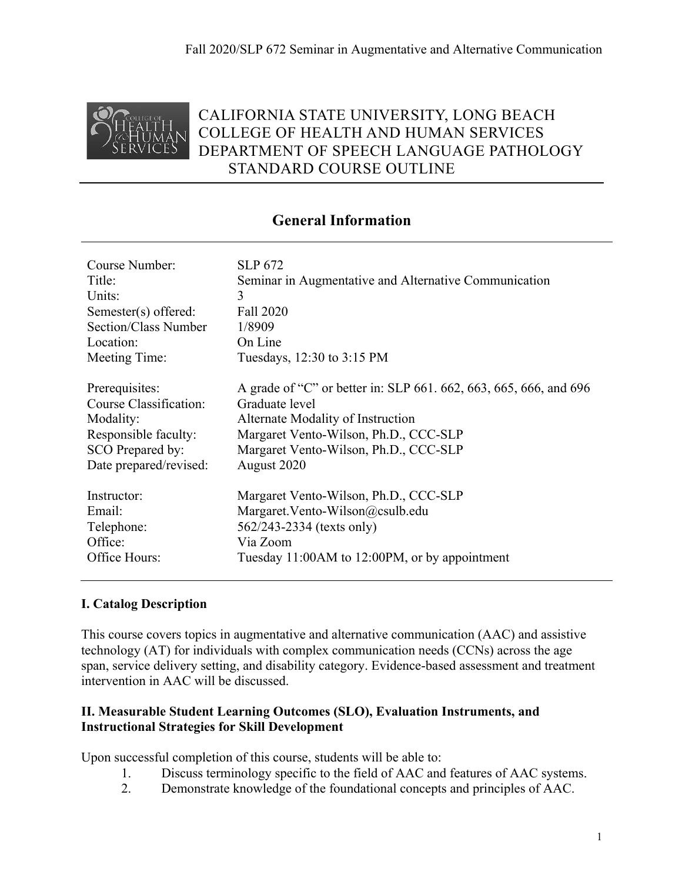

# CALIFORNIA STATE UNIVERSITY, LONG BEACH COLLEGE OF HEALTH AND HUMAN SERVICES DEPARTMENT OF SPEECH LANGUAGE PATHOLOGY STANDARD COURSE OUTLINE

# **General Information**

| Course Number:         | <b>SLP 672</b>                                                    |
|------------------------|-------------------------------------------------------------------|
| Title:                 | Seminar in Augmentative and Alternative Communication             |
| Units:                 | 3                                                                 |
| Semester(s) offered:   | Fall 2020                                                         |
| Section/Class Number   | 1/8909                                                            |
| Location:              | On Line                                                           |
| Meeting Time:          | Tuesdays, 12:30 to 3:15 PM                                        |
| Prerequisites:         | A grade of "C" or better in: SLP 661. 662, 663, 665, 666, and 696 |
| Course Classification: | Graduate level                                                    |
| Modality:              | Alternate Modality of Instruction                                 |
| Responsible faculty:   | Margaret Vento-Wilson, Ph.D., CCC-SLP                             |
| SCO Prepared by:       | Margaret Vento-Wilson, Ph.D., CCC-SLP                             |
| Date prepared/revised: | August 2020                                                       |
| Instructor:            | Margaret Vento-Wilson, Ph.D., CCC-SLP                             |
| Email:                 | Margaret. Vento-Wilson@csulb.edu                                  |
| Telephone:             | 562/243-2334 (texts only)                                         |
| Office:                | Via Zoom                                                          |
| Office Hours:          | Tuesday 11:00AM to 12:00PM, or by appointment                     |

## **I. Catalog Description**

This course covers topics in augmentative and alternative communication (AAC) and assistive technology (AT) for individuals with complex communication needs (CCNs) across the age span, service delivery setting, and disability category. Evidence-based assessment and treatment intervention in AAC will be discussed.

### **II. Measurable Student Learning Outcomes (SLO), Evaluation Instruments, and Instructional Strategies for Skill Development**

Upon successful completion of this course, students will be able to:

- 1. Discuss terminology specific to the field of AAC and features of AAC systems.
- 2. Demonstrate knowledge of the foundational concepts and principles of AAC.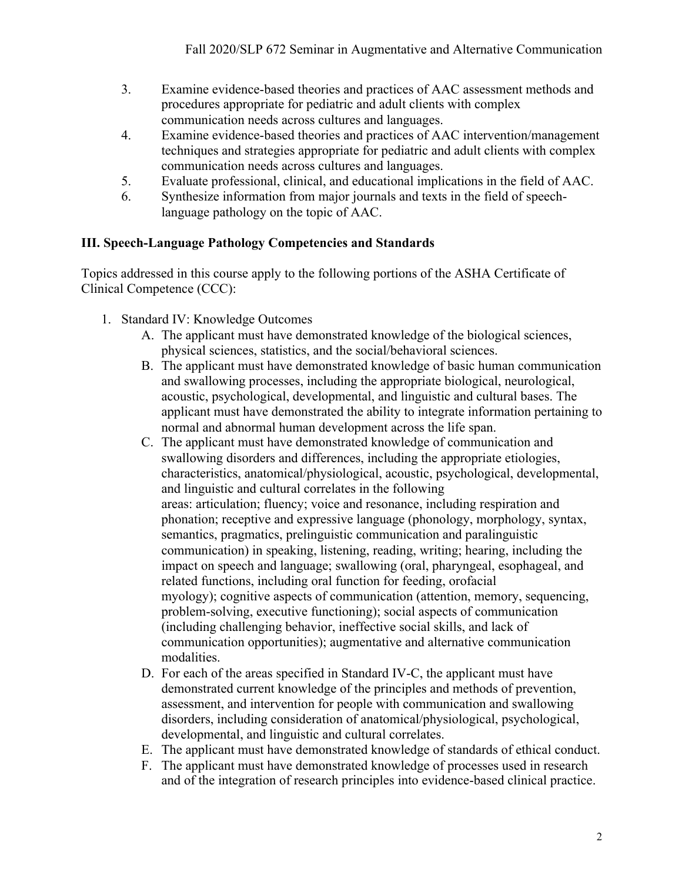- 3. Examine evidence-based theories and practices of AAC assessment methods and procedures appropriate for pediatric and adult clients with complex communication needs across cultures and languages.
- 4. Examine evidence-based theories and practices of AAC intervention/management techniques and strategies appropriate for pediatric and adult clients with complex communication needs across cultures and languages.
- 5. Evaluate professional, clinical, and educational implications in the field of AAC.
- 6. Synthesize information from major journals and texts in the field of speechlanguage pathology on the topic of AAC.

### **III. Speech-Language Pathology Competencies and Standards**

Topics addressed in this course apply to the following portions of the ASHA Certificate of Clinical Competence (CCC):

- 1. Standard IV: Knowledge Outcomes
	- A. The applicant must have demonstrated knowledge of the biological sciences, physical sciences, statistics, and the social/behavioral sciences.
	- B. The applicant must have demonstrated knowledge of basic human communication and swallowing processes, including the appropriate biological, neurological, acoustic, psychological, developmental, and linguistic and cultural bases. The applicant must have demonstrated the ability to integrate information pertaining to normal and abnormal human development across the life span.
	- C. The applicant must have demonstrated knowledge of communication and swallowing disorders and differences, including the appropriate etiologies, characteristics, anatomical/physiological, acoustic, psychological, developmental, and linguistic and cultural correlates in the following areas: articulation; fluency; voice and resonance, including respiration and phonation; receptive and expressive language (phonology, morphology, syntax, semantics, pragmatics, prelinguistic communication and paralinguistic communication) in speaking, listening, reading, writing; hearing, including the impact on speech and language; swallowing (oral, pharyngeal, esophageal, and related functions, including oral function for feeding, orofacial myology); cognitive aspects of communication (attention, memory, sequencing, problem-solving, executive functioning); social aspects of communication (including challenging behavior, ineffective social skills, and lack of communication opportunities); augmentative and alternative communication modalities.
	- D. For each of the areas specified in Standard IV-C, the applicant must have demonstrated current knowledge of the principles and methods of prevention, assessment, and intervention for people with communication and swallowing disorders, including consideration of anatomical/physiological, psychological, developmental, and linguistic and cultural correlates.
	- E. The applicant must have demonstrated knowledge of standards of ethical conduct.
	- F. The applicant must have demonstrated knowledge of processes used in research and of the integration of research principles into evidence-based clinical practice.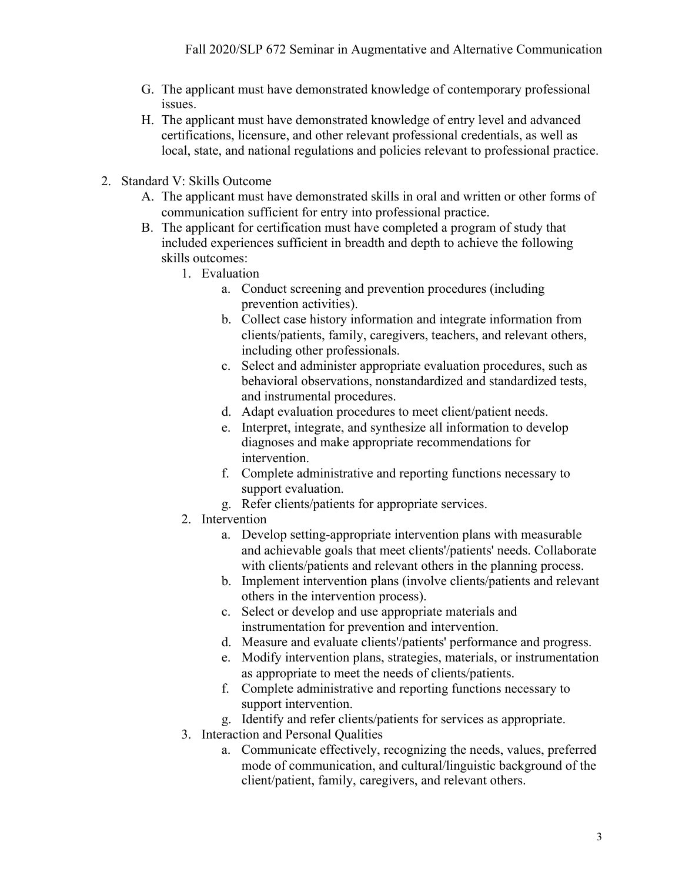- G. The applicant must have demonstrated knowledge of contemporary professional issues.
- H. The applicant must have demonstrated knowledge of entry level and advanced certifications, licensure, and other relevant professional credentials, as well as local, state, and national regulations and policies relevant to professional practice.
- 2. Standard V: Skills Outcome
	- A. The applicant must have demonstrated skills in oral and written or other forms of communication sufficient for entry into professional practice.
	- B. The applicant for certification must have completed a program of study that included experiences sufficient in breadth and depth to achieve the following skills outcomes:
		- 1. Evaluation
			- a. Conduct screening and prevention procedures (including prevention activities).
			- b. Collect case history information and integrate information from clients/patients, family, caregivers, teachers, and relevant others, including other professionals.
			- c. Select and administer appropriate evaluation procedures, such as behavioral observations, nonstandardized and standardized tests, and instrumental procedures.
			- d. Adapt evaluation procedures to meet client/patient needs.
			- e. Interpret, integrate, and synthesize all information to develop diagnoses and make appropriate recommendations for intervention.
			- f. Complete administrative and reporting functions necessary to support evaluation.
			- g. Refer clients/patients for appropriate services.
		- 2. Intervention
			- a. Develop setting-appropriate intervention plans with measurable and achievable goals that meet clients'/patients' needs. Collaborate with clients/patients and relevant others in the planning process.
			- b. Implement intervention plans (involve clients/patients and relevant others in the intervention process).
			- c. Select or develop and use appropriate materials and instrumentation for prevention and intervention.
			- d. Measure and evaluate clients'/patients' performance and progress.
			- e. Modify intervention plans, strategies, materials, or instrumentation as appropriate to meet the needs of clients/patients.
			- f. Complete administrative and reporting functions necessary to support intervention.
			- g. Identify and refer clients/patients for services as appropriate.
		- 3. Interaction and Personal Qualities
			- a. Communicate effectively, recognizing the needs, values, preferred mode of communication, and cultural/linguistic background of the client/patient, family, caregivers, and relevant others.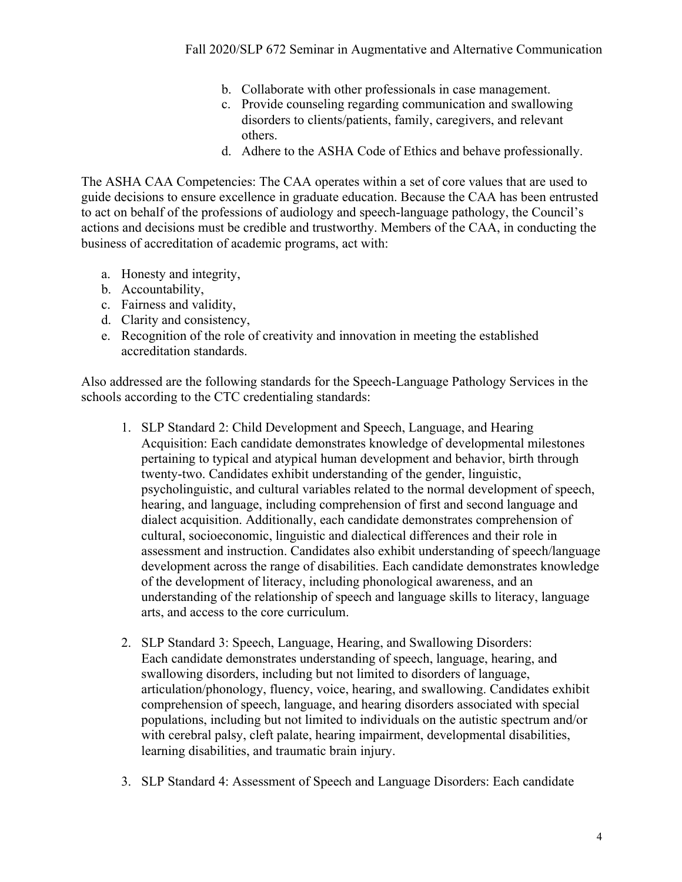- b. Collaborate with other professionals in case management.
- c. Provide counseling regarding communication and swallowing disorders to clients/patients, family, caregivers, and relevant others.
- d. Adhere to the ASHA Code of Ethics and behave professionally.

The ASHA CAA Competencies: The CAA operates within a set of core values that are used to guide decisions to ensure excellence in graduate education. Because the CAA has been entrusted to act on behalf of the professions of audiology and speech-language pathology, the Council's actions and decisions must be credible and trustworthy. Members of the CAA, in conducting the business of accreditation of academic programs, act with:

- a. Honesty and integrity,
- b. Accountability,
- c. Fairness and validity,
- d. Clarity and consistency,
- e. Recognition of the role of creativity and innovation in meeting the established accreditation standards.

Also addressed are the following standards for the Speech-Language Pathology Services in the schools according to the CTC credentialing standards:

- 1. SLP Standard 2: Child Development and Speech, Language, and Hearing Acquisition: Each candidate demonstrates knowledge of developmental milestones pertaining to typical and atypical human development and behavior, birth through twenty-two. Candidates exhibit understanding of the gender, linguistic, psycholinguistic, and cultural variables related to the normal development of speech, hearing, and language, including comprehension of first and second language and dialect acquisition. Additionally, each candidate demonstrates comprehension of cultural, socioeconomic, linguistic and dialectical differences and their role in assessment and instruction. Candidates also exhibit understanding of speech/language development across the range of disabilities. Each candidate demonstrates knowledge of the development of literacy, including phonological awareness, and an understanding of the relationship of speech and language skills to literacy, language arts, and access to the core curriculum.
- 2. SLP Standard 3: Speech, Language, Hearing, and Swallowing Disorders: Each candidate demonstrates understanding of speech, language, hearing, and swallowing disorders, including but not limited to disorders of language, articulation/phonology, fluency, voice, hearing, and swallowing. Candidates exhibit comprehension of speech, language, and hearing disorders associated with special populations, including but not limited to individuals on the autistic spectrum and/or with cerebral palsy, cleft palate, hearing impairment, developmental disabilities, learning disabilities, and traumatic brain injury.
- 3. SLP Standard 4: Assessment of Speech and Language Disorders: Each candidate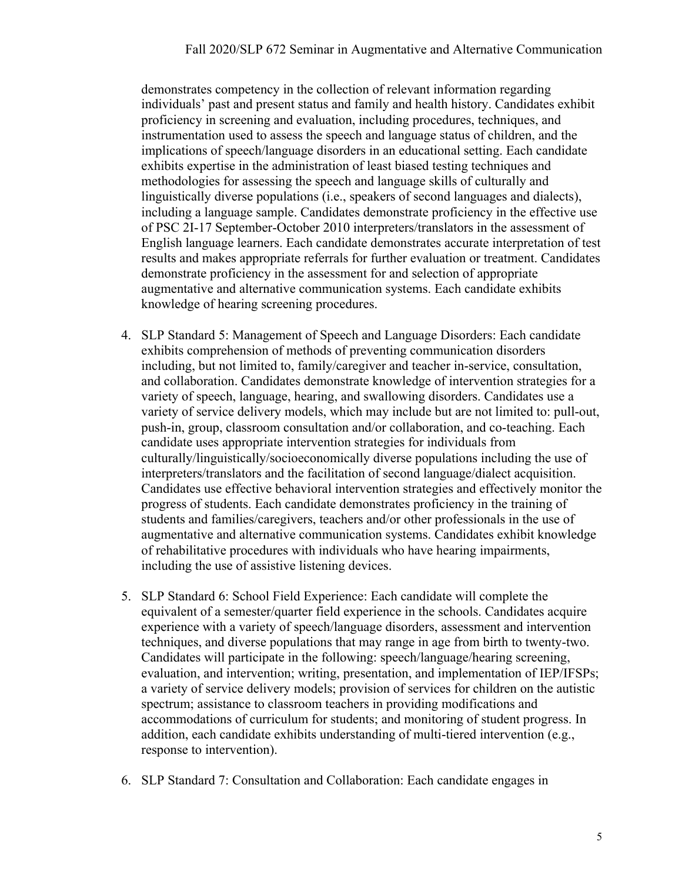demonstrates competency in the collection of relevant information regarding individuals' past and present status and family and health history. Candidates exhibit proficiency in screening and evaluation, including procedures, techniques, and instrumentation used to assess the speech and language status of children, and the implications of speech/language disorders in an educational setting. Each candidate exhibits expertise in the administration of least biased testing techniques and methodologies for assessing the speech and language skills of culturally and linguistically diverse populations (i.e., speakers of second languages and dialects), including a language sample. Candidates demonstrate proficiency in the effective use of PSC 2I-17 September-October 2010 interpreters/translators in the assessment of English language learners. Each candidate demonstrates accurate interpretation of test results and makes appropriate referrals for further evaluation or treatment. Candidates demonstrate proficiency in the assessment for and selection of appropriate augmentative and alternative communication systems. Each candidate exhibits knowledge of hearing screening procedures.

- 4. SLP Standard 5: Management of Speech and Language Disorders: Each candidate exhibits comprehension of methods of preventing communication disorders including, but not limited to, family/caregiver and teacher in-service, consultation, and collaboration. Candidates demonstrate knowledge of intervention strategies for a variety of speech, language, hearing, and swallowing disorders. Candidates use a variety of service delivery models, which may include but are not limited to: pull-out, push-in, group, classroom consultation and/or collaboration, and co-teaching. Each candidate uses appropriate intervention strategies for individuals from culturally/linguistically/socioeconomically diverse populations including the use of interpreters/translators and the facilitation of second language/dialect acquisition. Candidates use effective behavioral intervention strategies and effectively monitor the progress of students. Each candidate demonstrates proficiency in the training of students and families/caregivers, teachers and/or other professionals in the use of augmentative and alternative communication systems. Candidates exhibit knowledge of rehabilitative procedures with individuals who have hearing impairments, including the use of assistive listening devices.
- 5. SLP Standard 6: School Field Experience: Each candidate will complete the equivalent of a semester/quarter field experience in the schools. Candidates acquire experience with a variety of speech/language disorders, assessment and intervention techniques, and diverse populations that may range in age from birth to twenty-two. Candidates will participate in the following: speech/language/hearing screening, evaluation, and intervention; writing, presentation, and implementation of IEP/IFSPs; a variety of service delivery models; provision of services for children on the autistic spectrum; assistance to classroom teachers in providing modifications and accommodations of curriculum for students; and monitoring of student progress. In addition, each candidate exhibits understanding of multi-tiered intervention (e.g., response to intervention).
- 6. SLP Standard 7: Consultation and Collaboration: Each candidate engages in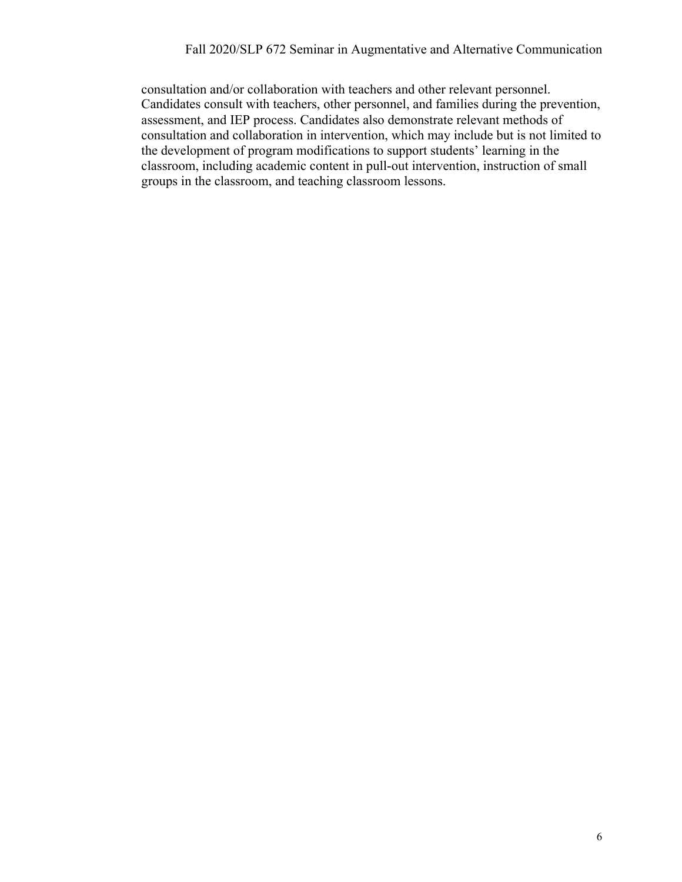#### Fall 2020/SLP 672 Seminar in Augmentative and Alternative Communication

consultation and/or collaboration with teachers and other relevant personnel. Candidates consult with teachers, other personnel, and families during the prevention, assessment, and IEP process. Candidates also demonstrate relevant methods of consultation and collaboration in intervention, which may include but is not limited to the development of program modifications to support students' learning in the classroom, including academic content in pull-out intervention, instruction of small groups in the classroom, and teaching classroom lessons.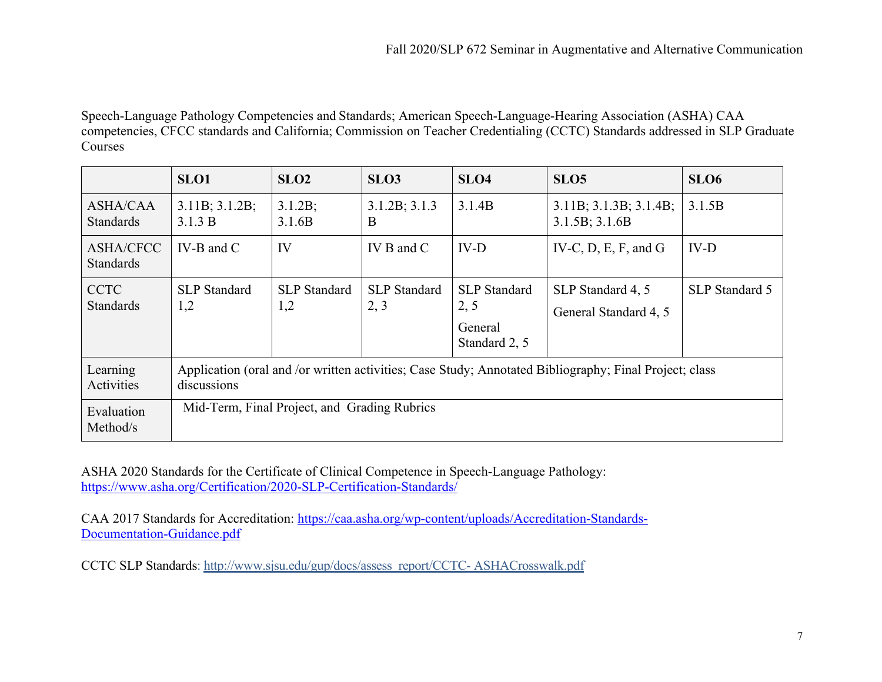Speech-Language Pathology Competencies and Standards; American Speech-Language-Hearing Association (ASHA) CAA competencies, CFCC standards and California; Commission on Teacher Credentialing (CCTC) Standards addressed in SLP Graduate Courses

|                                      | SLO <sub>1</sub>                                                                                                      | SLO <sub>2</sub>           | SLO <sub>3</sub>            | SLO <sub>4</sub>                                        | SLO <sub>5</sub>                              | SLO <sub>6</sub> |
|--------------------------------------|-----------------------------------------------------------------------------------------------------------------------|----------------------------|-----------------------------|---------------------------------------------------------|-----------------------------------------------|------------------|
| <b>ASHA/CAA</b><br><b>Standards</b>  | $3.11B$ ; $3.1.2B$ ;<br>3.1.3 B                                                                                       | $3.1.2B$ ;<br>3.1.6B       | $3.1.2B$ ; $3.1.3$<br>B     | 3.1.4B                                                  | 3.11B; 3.1.3B; 3.1.4B;<br>$3.1.5B$ ; $3.1.6B$ | 3.1.5B           |
| <b>ASHA/CFCC</b><br><b>Standards</b> | $IV-B$ and $C$                                                                                                        | IV                         | IV B and C                  | $IV-D$                                                  | IV-C, D, E, F, and G                          | $IV-D$           |
| <b>CCTC</b><br><b>Standards</b>      | <b>SLP</b> Standard<br>1,2                                                                                            | <b>SLP</b> Standard<br>1,2 | <b>SLP</b> Standard<br>2, 3 | <b>SLP</b> Standard<br>2, 5<br>General<br>Standard 2, 5 | SLP Standard 4, 5<br>General Standard 4, 5    | SLP Standard 5   |
| Learning<br>Activities               | Application (oral and /or written activities; Case Study; Annotated Bibliography; Final Project; class<br>discussions |                            |                             |                                                         |                                               |                  |
| Evaluation<br>Method/s               | Mid-Term, Final Project, and Grading Rubrics                                                                          |                            |                             |                                                         |                                               |                  |

ASHA 2020 Standards for the Certificate of Clinical Competence in Speech-Language Pathology: https://www.asha.org/Certification/2020-SLP-Certification-Standards/

CAA 2017 Standards for Accreditation: https://caa.asha.org/wp-content/uploads/Accreditation-Standards-Documentation-Guidance.pdf

CCTC SLP Standards: http://www.sjsu.edu/gup/docs/assess\_report/CCTC- ASHACrosswalk.pdf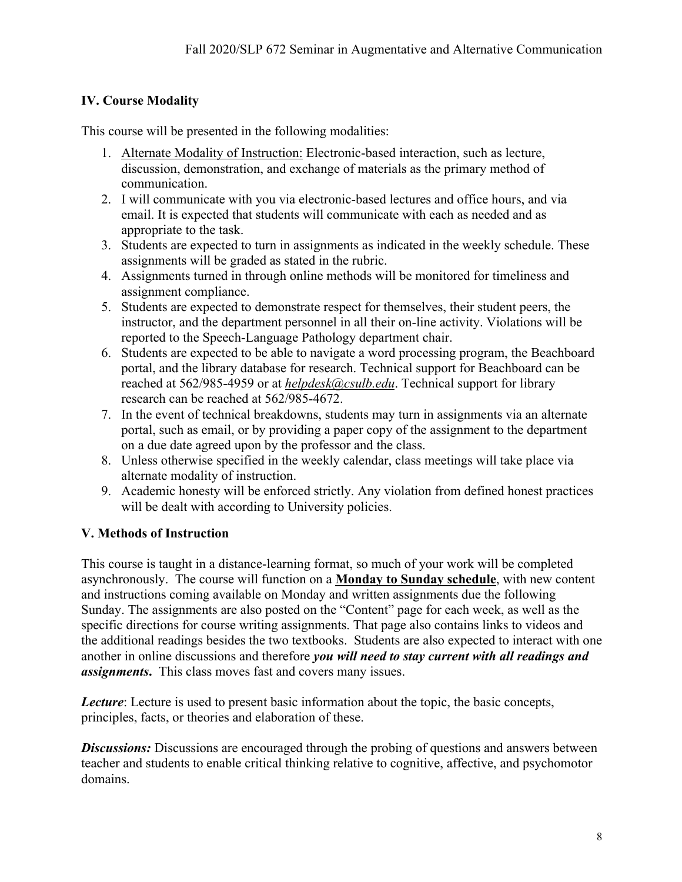## **IV. Course Modality**

This course will be presented in the following modalities:

- 1. Alternate Modality of Instruction: Electronic-based interaction, such as lecture, discussion, demonstration, and exchange of materials as the primary method of communication.
- 2. I will communicate with you via electronic-based lectures and office hours, and via email. It is expected that students will communicate with each as needed and as appropriate to the task.
- 3. Students are expected to turn in assignments as indicated in the weekly schedule. These assignments will be graded as stated in the rubric.
- 4. Assignments turned in through online methods will be monitored for timeliness and assignment compliance.
- 5. Students are expected to demonstrate respect for themselves, their student peers, the instructor, and the department personnel in all their on-line activity. Violations will be reported to the Speech-Language Pathology department chair.
- 6. Students are expected to be able to navigate a word processing program, the Beachboard portal, and the library database for research. Technical support for Beachboard can be reached at 562/985-4959 or at *helpdesk@csulb.edu*. Technical support for library research can be reached at 562/985-4672.
- 7. In the event of technical breakdowns, students may turn in assignments via an alternate portal, such as email, or by providing a paper copy of the assignment to the department on a due date agreed upon by the professor and the class.
- 8. Unless otherwise specified in the weekly calendar, class meetings will take place via alternate modality of instruction.
- 9. Academic honesty will be enforced strictly. Any violation from defined honest practices will be dealt with according to University policies.

### **V. Methods of Instruction**

This course is taught in a distance-learning format, so much of your work will be completed asynchronously. The course will function on a **Monday to Sunday schedule**, with new content and instructions coming available on Monday and written assignments due the following Sunday. The assignments are also posted on the "Content" page for each week, as well as the specific directions for course writing assignments. That page also contains links to videos and the additional readings besides the two textbooks. Students are also expected to interact with one another in online discussions and therefore *you will need to stay current with all readings and assignments***.** This class moves fast and covers many issues.

*Lecture*: Lecture is used to present basic information about the topic, the basic concepts, principles, facts, or theories and elaboration of these.

*Discussions:* Discussions are encouraged through the probing of questions and answers between teacher and students to enable critical thinking relative to cognitive, affective, and psychomotor domains.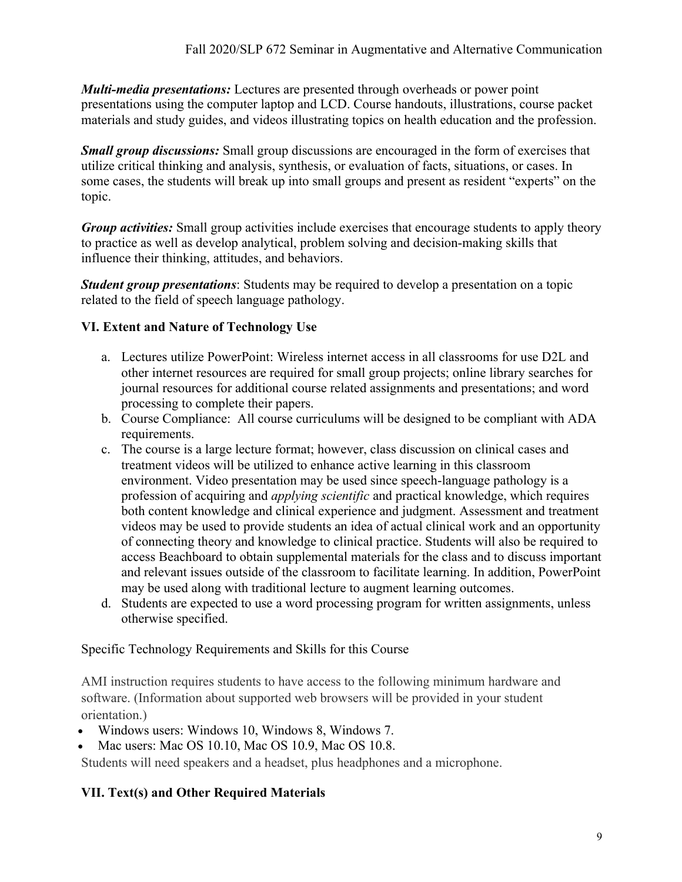*Multi-media presentations:* Lectures are presented through overheads or power point presentations using the computer laptop and LCD. Course handouts, illustrations, course packet materials and study guides, and videos illustrating topics on health education and the profession.

*Small group discussions:* Small group discussions are encouraged in the form of exercises that utilize critical thinking and analysis, synthesis, or evaluation of facts, situations, or cases. In some cases, the students will break up into small groups and present as resident "experts" on the topic.

*Group activities:* Small group activities include exercises that encourage students to apply theory to practice as well as develop analytical, problem solving and decision-making skills that influence their thinking, attitudes, and behaviors.

*Student group presentations*: Students may be required to develop a presentation on a topic related to the field of speech language pathology.

#### **VI. Extent and Nature of Technology Use**

- a. Lectures utilize PowerPoint: Wireless internet access in all classrooms for use D2L and other internet resources are required for small group projects; online library searches for journal resources for additional course related assignments and presentations; and word processing to complete their papers.
- b. Course Compliance: All course curriculums will be designed to be compliant with ADA requirements.
- c. The course is a large lecture format; however, class discussion on clinical cases and treatment videos will be utilized to enhance active learning in this classroom environment. Video presentation may be used since speech-language pathology is a profession of acquiring and *applying scientific* and practical knowledge, which requires both content knowledge and clinical experience and judgment. Assessment and treatment videos may be used to provide students an idea of actual clinical work and an opportunity of connecting theory and knowledge to clinical practice. Students will also be required to access Beachboard to obtain supplemental materials for the class and to discuss important and relevant issues outside of the classroom to facilitate learning. In addition, PowerPoint may be used along with traditional lecture to augment learning outcomes.
- d. Students are expected to use a word processing program for written assignments, unless otherwise specified.

Specific Technology Requirements and Skills for this Course

AMI instruction requires students to have access to the following minimum hardware and software. (Information about supported web browsers will be provided in your student orientation.)

- Windows users: Windows 10, Windows 8, Windows 7.
- Mac users: Mac OS 10.10, Mac OS 10.9, Mac OS 10.8.

Students will need speakers and a headset, plus headphones and a microphone.

### **VII. Text(s) and Other Required Materials**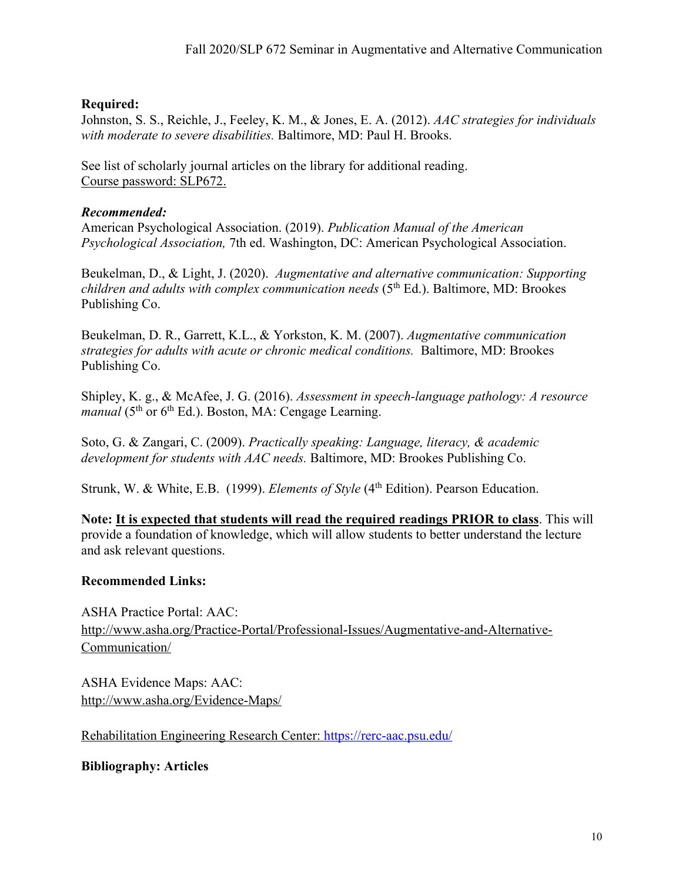#### **Required:**

Johnston, S. S., Reichle, J., Feeley, K. M., & Jones, E. A. (2012). *AAC strategies for individuals with moderate to severe disabilities.* Baltimore, MD: Paul H. Brooks.

See list of scholarly journal articles on the library for additional reading. Course password: SLP672.

#### *Recommended:*

American Psychological Association. (2019). *Publication Manual of the American Psychological Association,* 7th ed. Washington, DC: American Psychological Association.

Beukelman, D., & Light, J. (2020). *Augmentative and alternative communication: Supporting children and adults with complex communication needs* (5<sup>th</sup> Ed.). Baltimore, MD: Brookes Publishing Co.

Beukelman, D. R., Garrett, K.L., & Yorkston, K. M. (2007). *Augmentative communication strategies for adults with acute or chronic medical conditions.* Baltimore, MD: Brookes Publishing Co.

Shipley, K. g., & McAfee, J. G. (2016). *Assessment in speech-language pathology: A resource manual* (5<sup>th</sup> or 6<sup>th</sup> Ed.). Boston, MA: Cengage Learning.

Soto, G. & Zangari, C. (2009). *Practically speaking: Language, literacy, & academic development for students with AAC needs.* Baltimore, MD: Brookes Publishing Co.

Strunk, W. & White, E.B. (1999). *Elements of Style* (4<sup>th</sup> Edition). Pearson Education.

**Note: It is expected that students will read the required readings PRIOR to class**. This will provide a foundation of knowledge, which will allow students to better understand the lecture and ask relevant questions.

#### **Recommended Links:**

ASHA Practice Portal: AAC: http://www.asha.org/Practice-Portal/Professional-Issues/Augmentative-and-Alternative-Communication/

ASHA Evidence Maps: AAC: http://www.asha.org/Evidence-Maps/

Rehabilitation Engineering Research Center: https://rerc-aac.psu.edu/

**Bibliography: Articles**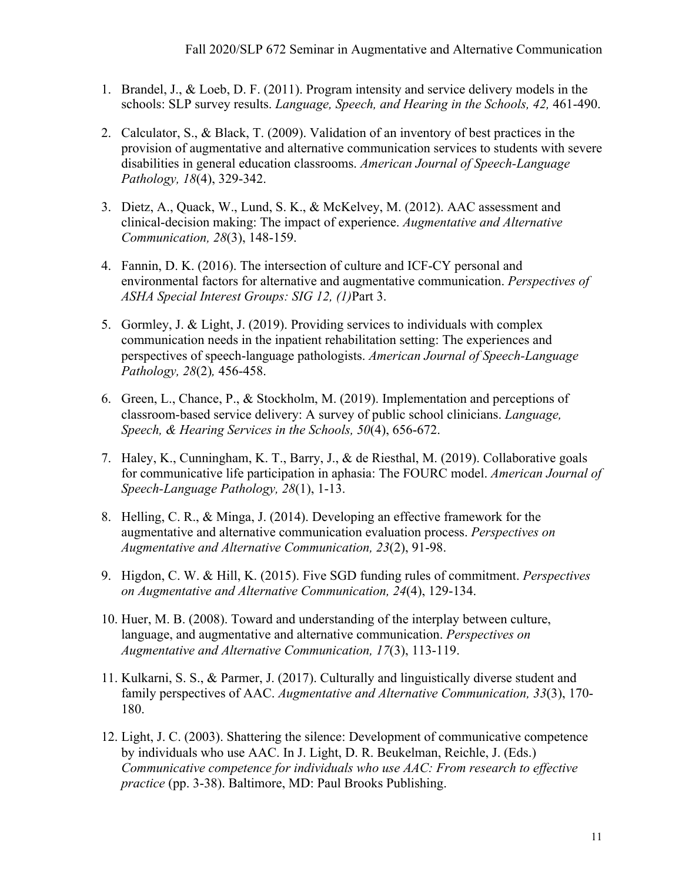- 1. Brandel, J., & Loeb, D. F. (2011). Program intensity and service delivery models in the schools: SLP survey results. *Language, Speech, and Hearing in the Schools, 42,* 461-490.
- 2. Calculator, S., & Black, T. (2009). Validation of an inventory of best practices in the provision of augmentative and alternative communication services to students with severe disabilities in general education classrooms. *American Journal of Speech-Language Pathology, 18*(4), 329-342.
- 3. Dietz, A., Quack, W., Lund, S. K., & McKelvey, M. (2012). AAC assessment and clinical-decision making: The impact of experience. *Augmentative and Alternative Communication, 28*(3), 148-159.
- 4. Fannin, D. K. (2016). The intersection of culture and ICF-CY personal and environmental factors for alternative and augmentative communication. *Perspectives of ASHA Special Interest Groups: SIG 12, (1)*Part 3.
- 5. Gormley, J. & Light, J. (2019). Providing services to individuals with complex communication needs in the inpatient rehabilitation setting: The experiences and perspectives of speech-language pathologists. *American Journal of Speech-Language Pathology, 28*(2)*,* 456-458.
- 6. Green, L., Chance, P., & Stockholm, M. (2019). Implementation and perceptions of classroom-based service delivery: A survey of public school clinicians. *Language, Speech, & Hearing Services in the Schools, 50*(4), 656-672.
- 7. Haley, K., Cunningham, K. T., Barry, J., & de Riesthal, M. (2019). Collaborative goals for communicative life participation in aphasia: The FOURC model. *American Journal of Speech-Language Pathology, 28*(1), 1-13.
- 8. Helling, C. R., & Minga, J. (2014). Developing an effective framework for the augmentative and alternative communication evaluation process. *Perspectives on Augmentative and Alternative Communication, 23*(2), 91-98.
- 9. Higdon, C. W. & Hill, K. (2015). Five SGD funding rules of commitment. *Perspectives on Augmentative and Alternative Communication, 24*(4), 129-134.
- 10. Huer, M. B. (2008). Toward and understanding of the interplay between culture, language, and augmentative and alternative communication. *Perspectives on Augmentative and Alternative Communication, 17*(3), 113-119.
- 11. Kulkarni, S. S., & Parmer, J. (2017). Culturally and linguistically diverse student and family perspectives of AAC. *Augmentative and Alternative Communication, 33*(3), 170- 180.
- 12. Light, J. C. (2003). Shattering the silence: Development of communicative competence by individuals who use AAC. In J. Light, D. R. Beukelman, Reichle, J. (Eds.) *Communicative competence for individuals who use AAC: From research to effective practice* (pp. 3-38). Baltimore, MD: Paul Brooks Publishing.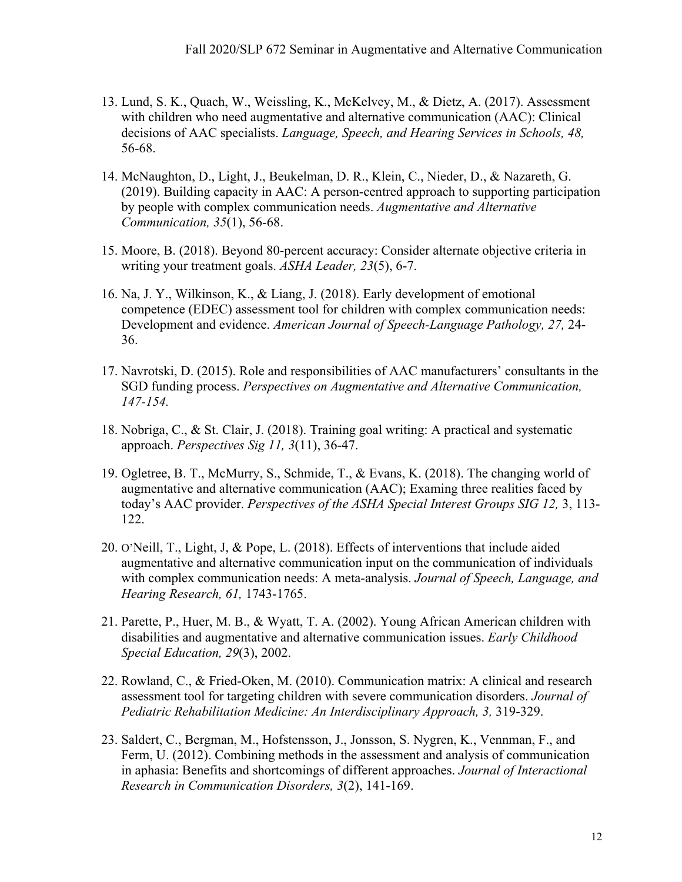- 13. Lund, S. K., Quach, W., Weissling, K., McKelvey, M., & Dietz, A. (2017). Assessment with children who need augmentative and alternative communication (AAC): Clinical decisions of AAC specialists. *Language, Speech, and Hearing Services in Schools, 48,*  56-68.
- 14. McNaughton, D., Light, J., Beukelman, D. R., Klein, C., Nieder, D., & Nazareth, G. (2019). Building capacity in AAC: A person-centred approach to supporting participation by people with complex communication needs. *Augmentative and Alternative Communication, 35*(1), 56-68.
- 15. Moore, B. (2018). Beyond 80-percent accuracy: Consider alternate objective criteria in writing your treatment goals. *ASHA Leader, 23*(5), 6-7.
- 16. Na, J. Y., Wilkinson, K., & Liang, J. (2018). Early development of emotional competence (EDEC) assessment tool for children with complex communication needs: Development and evidence. *American Journal of Speech-Language Pathology, 27,* 24- 36.
- 17. Navrotski, D. (2015). Role and responsibilities of AAC manufacturers' consultants in the SGD funding process. *Perspectives on Augmentative and Alternative Communication, 147-154.*
- 18. Nobriga, C., & St. Clair, J. (2018). Training goal writing: A practical and systematic approach. *Perspectives Sig 11, 3*(11), 36-47.
- 19. Ogletree, B. T., McMurry, S., Schmide, T., & Evans, K. (2018). The changing world of augmentative and alternative communication (AAC); Examing three realities faced by today's AAC provider. *Perspectives of the ASHA Special Interest Groups SIG 12,* 3, 113- 122.
- 20. O'Neill, T., Light, J, & Pope, L. (2018). Effects of interventions that include aided augmentative and alternative communication input on the communication of individuals with complex communication needs: A meta-analysis. *Journal of Speech, Language, and Hearing Research, 61,* 1743-1765.
- 21. Parette, P., Huer, M. B., & Wyatt, T. A. (2002). Young African American children with disabilities and augmentative and alternative communication issues. *Early Childhood Special Education, 29*(3), 2002.
- 22. Rowland, C., & Fried-Oken, M. (2010). Communication matrix: A clinical and research assessment tool for targeting children with severe communication disorders. *Journal of Pediatric Rehabilitation Medicine: An Interdisciplinary Approach, 3,* 319-329.
- 23. Saldert, C., Bergman, M., Hofstensson, J., Jonsson, S. Nygren, K., Vennman, F., and Ferm, U. (2012). Combining methods in the assessment and analysis of communication in aphasia: Benefits and shortcomings of different approaches. *Journal of Interactional Research in Communication Disorders, 3*(2), 141-169.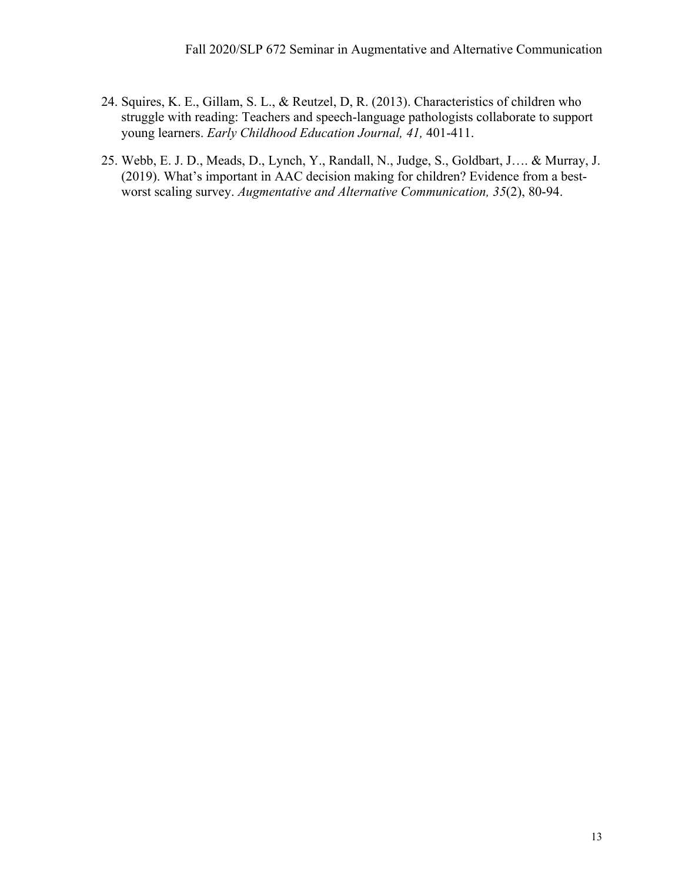- 24. Squires, K. E., Gillam, S. L., & Reutzel, D, R. (2013). Characteristics of children who struggle with reading: Teachers and speech-language pathologists collaborate to support young learners. *Early Childhood Education Journal, 41,* 401-411.
- 25. Webb, E. J. D., Meads, D., Lynch, Y., Randall, N., Judge, S., Goldbart, J…. & Murray, J. (2019). What's important in AAC decision making for children? Evidence from a bestworst scaling survey. *Augmentative and Alternative Communication, 35*(2), 80-94.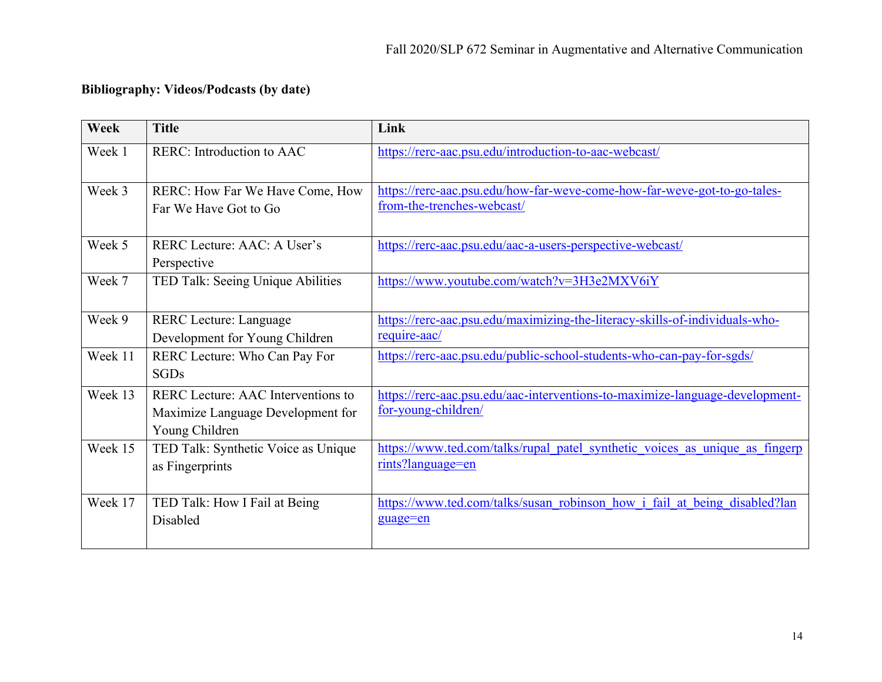## **Bibliography: Videos/Podcasts (by date)**

| Week    | <b>Title</b>                                                                              | Link                                                                                                   |
|---------|-------------------------------------------------------------------------------------------|--------------------------------------------------------------------------------------------------------|
| Week 1  | <b>RERC:</b> Introduction to AAC                                                          | https://rerc-aac.psu.edu/introduction-to-aac-webcast/                                                  |
| Week 3  | RERC: How Far We Have Come, How<br>Far We Have Got to Go                                  | https://rerc-aac.psu.edu/how-far-weve-come-how-far-weve-got-to-go-tales-<br>from-the-trenches-webcast/ |
| Week 5  | RERC Lecture: AAC: A User's<br>Perspective                                                | https://rerc-aac.psu.edu/aac-a-users-perspective-webcast/                                              |
| Week 7  | TED Talk: Seeing Unique Abilities                                                         | https://www.youtube.com/watch?v=3H3e2MXV6iY                                                            |
| Week 9  | <b>RERC</b> Lecture: Language<br>Development for Young Children                           | https://rerc-aac.psu.edu/maximizing-the-literacy-skills-of-individuals-who-<br>require-aac/            |
| Week 11 | RERC Lecture: Who Can Pay For<br><b>SGDs</b>                                              | https://rerc-aac.psu.edu/public-school-students-who-can-pay-for-sgds/                                  |
| Week 13 | RERC Lecture: AAC Interventions to<br>Maximize Language Development for<br>Young Children | https://rerc-aac.psu.edu/aac-interventions-to-maximize-language-development-<br>for-young-children/    |
| Week 15 | TED Talk: Synthetic Voice as Unique<br>as Fingerprints                                    | https://www.ted.com/talks/rupal patel synthetic voices as unique as fingerp<br>rints?language=en       |
| Week 17 | TED Talk: How I Fail at Being<br>Disabled                                                 | https://www.ted.com/talks/susan_robinson_how_i_fail_at_being_disabled?lan<br>guage=en                  |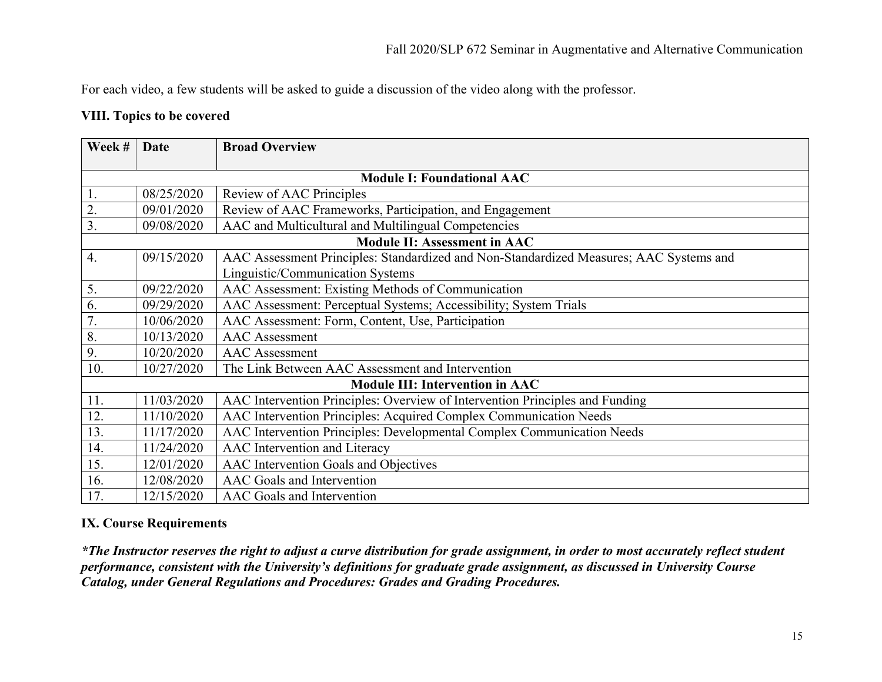For each video, a few students will be asked to guide a discussion of the video along with the professor.

#### **VIII. Topics to be covered**

| Week #           | Date       | <b>Broad Overview</b>                                                                  |  |  |
|------------------|------------|----------------------------------------------------------------------------------------|--|--|
|                  |            |                                                                                        |  |  |
|                  |            | <b>Module I: Foundational AAC</b>                                                      |  |  |
| 1.               | 08/25/2020 | Review of AAC Principles                                                               |  |  |
| $\overline{2}$ . | 09/01/2020 | Review of AAC Frameworks, Participation, and Engagement                                |  |  |
| 3.               | 09/08/2020 | AAC and Multicultural and Multilingual Competencies                                    |  |  |
|                  |            | <b>Module II: Assessment in AAC</b>                                                    |  |  |
| $\overline{4}$ . | 09/15/2020 | AAC Assessment Principles: Standardized and Non-Standardized Measures; AAC Systems and |  |  |
|                  |            | Linguistic/Communication Systems                                                       |  |  |
| 5.               | 09/22/2020 | AAC Assessment: Existing Methods of Communication                                      |  |  |
| 6.               | 09/29/2020 | AAC Assessment: Perceptual Systems; Accessibility; System Trials                       |  |  |
| 7.               | 10/06/2020 | AAC Assessment: Form, Content, Use, Participation                                      |  |  |
| 8.               | 10/13/2020 | <b>AAC</b> Assessment                                                                  |  |  |
| 9.               | 10/20/2020 | <b>AAC</b> Assessment                                                                  |  |  |
| 10.              | 10/27/2020 | The Link Between AAC Assessment and Intervention                                       |  |  |
|                  |            | <b>Module III: Intervention in AAC</b>                                                 |  |  |
| 11.              | 11/03/2020 | AAC Intervention Principles: Overview of Intervention Principles and Funding           |  |  |
| 12.              | 11/10/2020 | AAC Intervention Principles: Acquired Complex Communication Needs                      |  |  |
| 13.              | 11/17/2020 | AAC Intervention Principles: Developmental Complex Communication Needs                 |  |  |
| 14.              | 11/24/2020 | AAC Intervention and Literacy                                                          |  |  |
| 15.              | 12/01/2020 | AAC Intervention Goals and Objectives                                                  |  |  |
| 16.              | 12/08/2020 | AAC Goals and Intervention                                                             |  |  |
| 17.              | 12/15/2020 | AAC Goals and Intervention                                                             |  |  |

#### **IX. Course Requirements**

*\*The Instructor reserves the right to adjust a curve distribution for grade assignment, in order to most accurately reflect student performance, consistent with the University's definitions for graduate grade assignment, as discussed in University Course Catalog, under General Regulations and Procedures: Grades and Grading Procedures.*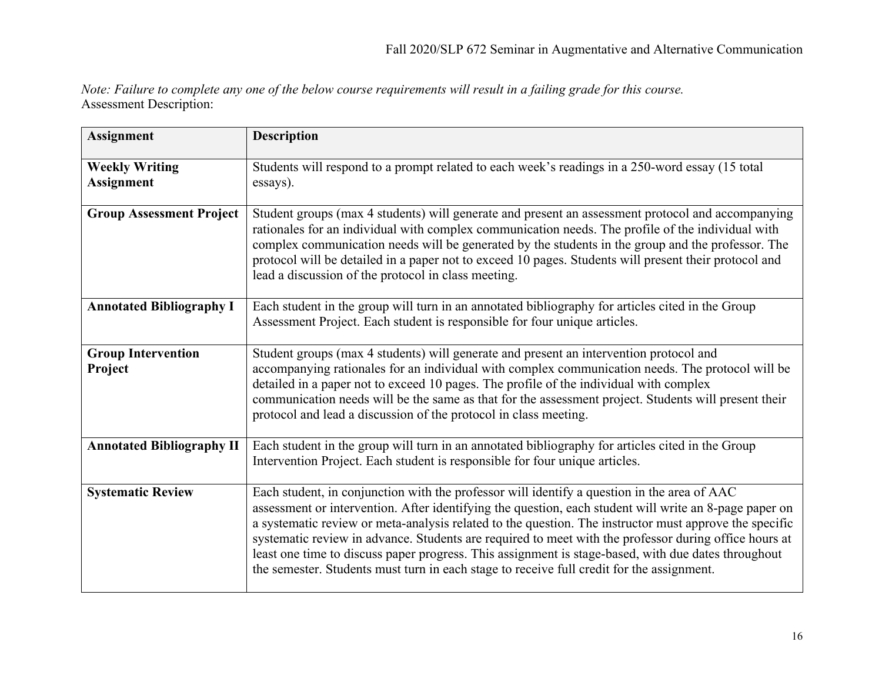*Note: Failure to complete any one of the below course requirements will result in a failing grade for this course.* Assessment Description:

| <b>Assignment</b>                          | <b>Description</b>                                                                                                                                                                                                                                                                                                                                                                                                                                                                                                                                                                                                           |
|--------------------------------------------|------------------------------------------------------------------------------------------------------------------------------------------------------------------------------------------------------------------------------------------------------------------------------------------------------------------------------------------------------------------------------------------------------------------------------------------------------------------------------------------------------------------------------------------------------------------------------------------------------------------------------|
| <b>Weekly Writing</b><br><b>Assignment</b> | Students will respond to a prompt related to each week's readings in a 250-word essay (15 total<br>essays).                                                                                                                                                                                                                                                                                                                                                                                                                                                                                                                  |
| <b>Group Assessment Project</b>            | Student groups (max 4 students) will generate and present an assessment protocol and accompanying<br>rationales for an individual with complex communication needs. The profile of the individual with<br>complex communication needs will be generated by the students in the group and the professor. The<br>protocol will be detailed in a paper not to exceed 10 pages. Students will present their protocol and<br>lead a discussion of the protocol in class meeting.                                                                                                                                                  |
| <b>Annotated Bibliography I</b>            | Each student in the group will turn in an annotated bibliography for articles cited in the Group<br>Assessment Project. Each student is responsible for four unique articles.                                                                                                                                                                                                                                                                                                                                                                                                                                                |
| <b>Group Intervention</b><br>Project       | Student groups (max 4 students) will generate and present an intervention protocol and<br>accompanying rationales for an individual with complex communication needs. The protocol will be<br>detailed in a paper not to exceed 10 pages. The profile of the individual with complex<br>communication needs will be the same as that for the assessment project. Students will present their<br>protocol and lead a discussion of the protocol in class meeting.                                                                                                                                                             |
| <b>Annotated Bibliography II</b>           | Each student in the group will turn in an annotated bibliography for articles cited in the Group<br>Intervention Project. Each student is responsible for four unique articles.                                                                                                                                                                                                                                                                                                                                                                                                                                              |
| <b>Systematic Review</b>                   | Each student, in conjunction with the professor will identify a question in the area of AAC<br>assessment or intervention. After identifying the question, each student will write an 8-page paper on<br>a systematic review or meta-analysis related to the question. The instructor must approve the specific<br>systematic review in advance. Students are required to meet with the professor during office hours at<br>least one time to discuss paper progress. This assignment is stage-based, with due dates throughout<br>the semester. Students must turn in each stage to receive full credit for the assignment. |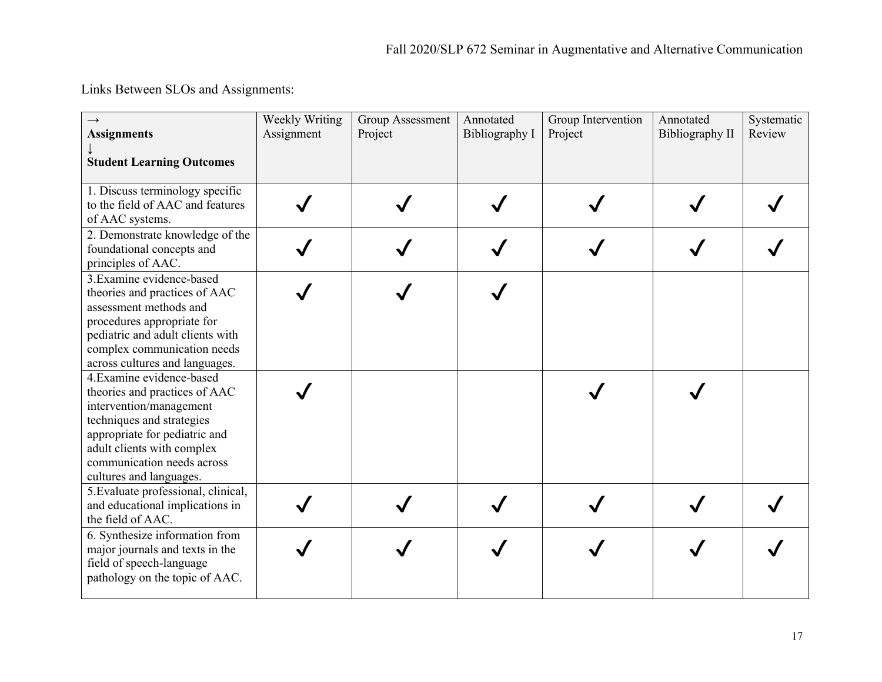Links Between SLOs and Assignments:

| $\rightarrow$<br><b>Assignments</b>                                                                                                                                                                                                        | Weekly Writing<br>Assignment | Group Assessment<br>Project | Annotated<br><b>Bibliography I</b> | Group Intervention<br>Project | Annotated<br>Bibliography II | Systematic<br>Review |
|--------------------------------------------------------------------------------------------------------------------------------------------------------------------------------------------------------------------------------------------|------------------------------|-----------------------------|------------------------------------|-------------------------------|------------------------------|----------------------|
| <b>Student Learning Outcomes</b>                                                                                                                                                                                                           |                              |                             |                                    |                               |                              |                      |
| 1. Discuss terminology specific<br>to the field of AAC and features<br>of AAC systems.                                                                                                                                                     |                              |                             |                                    |                               |                              |                      |
| 2. Demonstrate knowledge of the<br>foundational concepts and<br>principles of AAC.                                                                                                                                                         |                              |                             |                                    |                               |                              |                      |
| 3. Examine evidence-based<br>theories and practices of AAC<br>assessment methods and<br>procedures appropriate for<br>pediatric and adult clients with<br>complex communication needs<br>across cultures and languages.                    |                              |                             |                                    |                               |                              |                      |
| 4. Examine evidence-based<br>theories and practices of AAC<br>intervention/management<br>techniques and strategies<br>appropriate for pediatric and<br>adult clients with complex<br>communication needs across<br>cultures and languages. |                              |                             |                                    |                               |                              |                      |
| 5. Evaluate professional, clinical,<br>and educational implications in<br>the field of AAC.                                                                                                                                                |                              |                             |                                    |                               |                              |                      |
| 6. Synthesize information from<br>major journals and texts in the<br>field of speech-language<br>pathology on the topic of AAC.                                                                                                            |                              |                             |                                    |                               |                              |                      |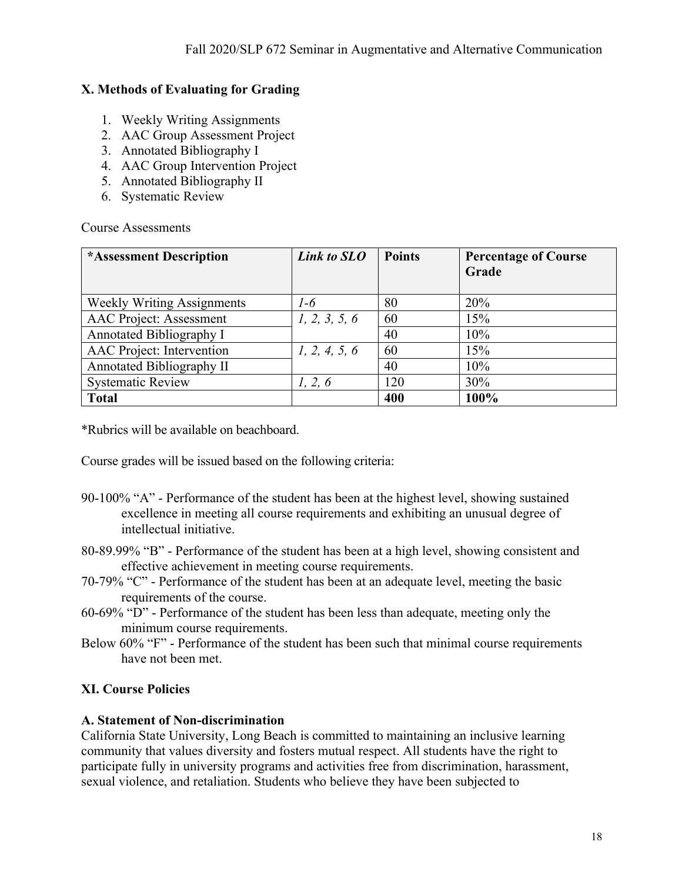#### **X. Methods of Evaluating for Grading**

- 1. Weekly Writing Assignments
- 2. AAC Group Assessment Project
- 3. Annotated Bibliography I
- 4. AAC Group Intervention Project
- 5. Annotated Bibliography II
- 6. Systematic Review

Course Assessments

| *Assessment Description           | Link to SLO   | <b>Points</b> | <b>Percentage of Course</b><br>Grade |
|-----------------------------------|---------------|---------------|--------------------------------------|
| <b>Weekly Writing Assignments</b> | 1-6           | 80            | 20%                                  |
| <b>AAC Project: Assessment</b>    | 1, 2, 3, 5, 6 | 60            | 15%                                  |
| Annotated Bibliography I          |               | 40            | 10%                                  |
| <b>AAC</b> Project: Intervention  | 1, 2, 4, 5, 6 | 60            | 15%                                  |
| <b>Annotated Bibliography II</b>  |               | 40            | 10%                                  |
| <b>Systematic Review</b>          | 1, 2, 6       | 120           | 30%                                  |
| <b>Total</b>                      |               | 400           | 100%                                 |

\*Rubrics will be available on beachboard.

Course grades will be issued based on the following criteria:

- 90-100% "A" Performance of the student has been at the highest level, showing sustained excellence in meeting all course requirements and exhibiting an unusual degree of intellectual initiative.
- 80-89.99% "B" Performance of the student has been at a high level, showing consistent and effective achievement in meeting course requirements.
- 70-79% "C" Performance of the student has been at an adequate level, meeting the basic requirements of the course.
- 60-69% "D" Performance of the student has been less than adequate, meeting only the minimum course requirements.
- Below 60% "F" Performance of the student has been such that minimal course requirements have not been met.

#### **XI. Course Policies**

#### **A. Statement of Non-discrimination**

California State University, Long Beach is committed to maintaining an inclusive learning community that values diversity and fosters mutual respect. All students have the right to participate fully in university programs and activities free from discrimination, harassment, sexual violence, and retaliation. Students who believe they have been subjected to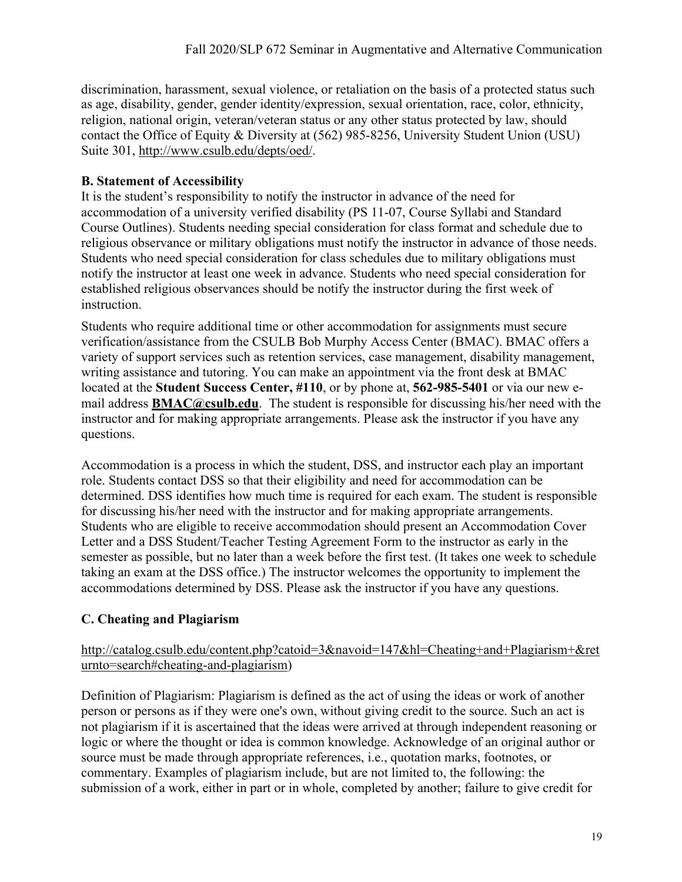discrimination, harassment, sexual violence, or retaliation on the basis of a protected status such as age, disability, gender, gender identity/expression, sexual orientation, race, color, ethnicity, religion, national origin, veteran/veteran status or any other status protected by law, should contact the Office of Equity & Diversity at (562) 985-8256, University Student Union (USU) Suite 301, http://www.csulb.edu/depts/oed/.

### **B. Statement of Accessibility**

It is the student's responsibility to notify the instructor in advance of the need for accommodation of a university verified disability (PS 11-07, Course Syllabi and Standard Course Outlines). Students needing special consideration for class format and schedule due to religious observance or military obligations must notify the instructor in advance of those needs. Students who need special consideration for class schedules due to military obligations must notify the instructor at least one week in advance. Students who need special consideration for established religious observances should be notify the instructor during the first week of instruction.

Students who require additional time or other accommodation for assignments must secure verification/assistance from the CSULB Bob Murphy Access Center (BMAC). BMAC offers a variety of support services such as retention services, case management, disability management, writing assistance and tutoring. You can make an appointment via the front desk at BMAC located at the **Student Success Center, #110**, or by phone at, **562-985-5401** or via our new email address **BMAC@csulb.edu**. The student is responsible for discussing his/her need with the instructor and for making appropriate arrangements. Please ask the instructor if you have any questions.

Accommodation is a process in which the student, DSS, and instructor each play an important role. Students contact DSS so that their eligibility and need for accommodation can be determined. DSS identifies how much time is required for each exam. The student is responsible for discussing his/her need with the instructor and for making appropriate arrangements. Students who are eligible to receive accommodation should present an Accommodation Cover Letter and a DSS Student/Teacher Testing Agreement Form to the instructor as early in the semester as possible, but no later than a week before the first test. (It takes one week to schedule taking an exam at the DSS office.) The instructor welcomes the opportunity to implement the accommodations determined by DSS. Please ask the instructor if you have any questions.

## **C. Cheating and Plagiarism**

#### http://catalog.csulb.edu/content.php?catoid=3&navoid=147&hl=Cheating+and+Plagiarism+&ret urnto=search#cheating-and-plagiarism)

Definition of Plagiarism: Plagiarism is defined as the act of using the ideas or work of another person or persons as if they were one's own, without giving credit to the source. Such an act is not plagiarism if it is ascertained that the ideas were arrived at through independent reasoning or logic or where the thought or idea is common knowledge. Acknowledge of an original author or source must be made through appropriate references, i.e., quotation marks, footnotes, or commentary. Examples of plagiarism include, but are not limited to, the following: the submission of a work, either in part or in whole, completed by another; failure to give credit for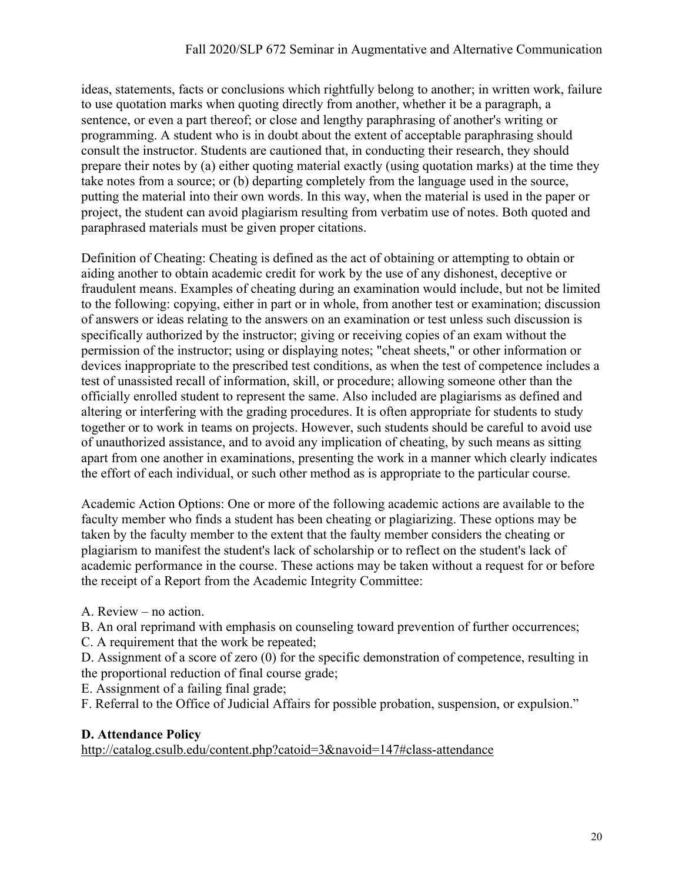#### Fall 2020/SLP 672 Seminar in Augmentative and Alternative Communication

ideas, statements, facts or conclusions which rightfully belong to another; in written work, failure to use quotation marks when quoting directly from another, whether it be a paragraph, a sentence, or even a part thereof; or close and lengthy paraphrasing of another's writing or programming. A student who is in doubt about the extent of acceptable paraphrasing should consult the instructor. Students are cautioned that, in conducting their research, they should prepare their notes by (a) either quoting material exactly (using quotation marks) at the time they take notes from a source; or (b) departing completely from the language used in the source, putting the material into their own words. In this way, when the material is used in the paper or project, the student can avoid plagiarism resulting from verbatim use of notes. Both quoted and paraphrased materials must be given proper citations.

Definition of Cheating: Cheating is defined as the act of obtaining or attempting to obtain or aiding another to obtain academic credit for work by the use of any dishonest, deceptive or fraudulent means. Examples of cheating during an examination would include, but not be limited to the following: copying, either in part or in whole, from another test or examination; discussion of answers or ideas relating to the answers on an examination or test unless such discussion is specifically authorized by the instructor; giving or receiving copies of an exam without the permission of the instructor; using or displaying notes; "cheat sheets," or other information or devices inappropriate to the prescribed test conditions, as when the test of competence includes a test of unassisted recall of information, skill, or procedure; allowing someone other than the officially enrolled student to represent the same. Also included are plagiarisms as defined and altering or interfering with the grading procedures. It is often appropriate for students to study together or to work in teams on projects. However, such students should be careful to avoid use of unauthorized assistance, and to avoid any implication of cheating, by such means as sitting apart from one another in examinations, presenting the work in a manner which clearly indicates the effort of each individual, or such other method as is appropriate to the particular course.

Academic Action Options: One or more of the following academic actions are available to the faculty member who finds a student has been cheating or plagiarizing. These options may be taken by the faculty member to the extent that the faulty member considers the cheating or plagiarism to manifest the student's lack of scholarship or to reflect on the student's lack of academic performance in the course. These actions may be taken without a request for or before the receipt of a Report from the Academic Integrity Committee:

- A. Review no action.
- B. An oral reprimand with emphasis on counseling toward prevention of further occurrences;
- C. A requirement that the work be repeated;
- D. Assignment of a score of zero (0) for the specific demonstration of competence, resulting in the proportional reduction of final course grade;
- E. Assignment of a failing final grade;
- F. Referral to the Office of Judicial Affairs for possible probation, suspension, or expulsion."

#### **D. Attendance Policy**

http://catalog.csulb.edu/content.php?catoid=3&navoid=147#class-attendance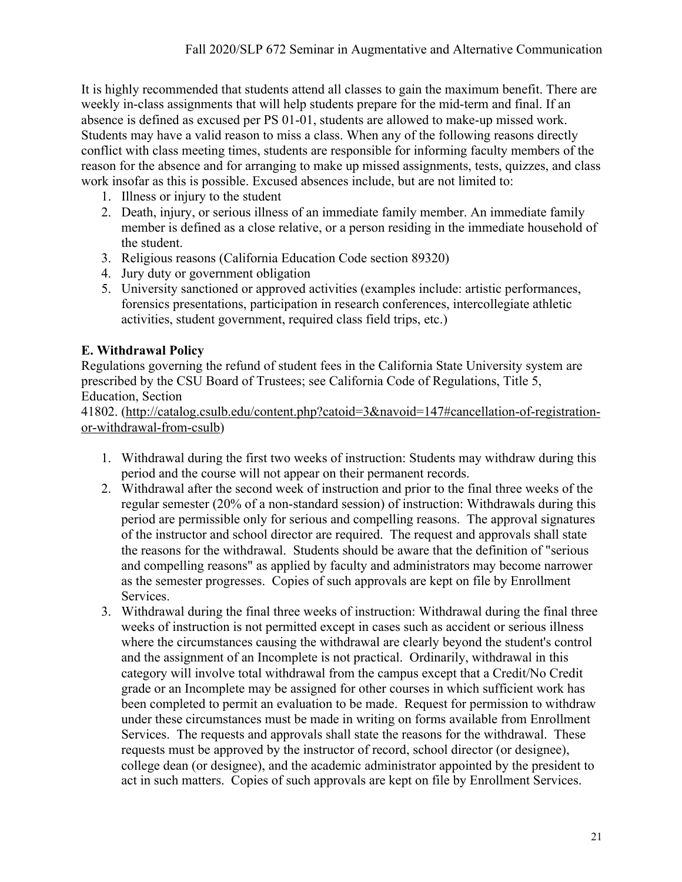It is highly recommended that students attend all classes to gain the maximum benefit. There are weekly in-class assignments that will help students prepare for the mid-term and final. If an absence is defined as excused per PS 01-01, students are allowed to make-up missed work. Students may have a valid reason to miss a class. When any of the following reasons directly conflict with class meeting times, students are responsible for informing faculty members of the reason for the absence and for arranging to make up missed assignments, tests, quizzes, and class work insofar as this is possible. Excused absences include, but are not limited to:

- 1. Illness or injury to the student
- 2. Death, injury, or serious illness of an immediate family member. An immediate family member is defined as a close relative, or a person residing in the immediate household of the student.
- 3. Religious reasons (California Education Code section 89320)
- 4. Jury duty or government obligation
- 5. University sanctioned or approved activities (examples include: artistic performances, forensics presentations, participation in research conferences, intercollegiate athletic activities, student government, required class field trips, etc.)

#### **E. Withdrawal Policy**

Regulations governing the refund of student fees in the California State University system are prescribed by the CSU Board of Trustees; see California Code of Regulations, Title 5, Education, Section

41802. (http://catalog.csulb.edu/content.php?catoid=3&navoid=147#cancellation-of-registrationor-withdrawal-from-csulb)

- 1. Withdrawal during the first two weeks of instruction: Students may withdraw during this period and the course will not appear on their permanent records.
- 2. Withdrawal after the second week of instruction and prior to the final three weeks of the regular semester (20% of a non-standard session) of instruction: Withdrawals during this period are permissible only for serious and compelling reasons. The approval signatures of the instructor and school director are required. The request and approvals shall state the reasons for the withdrawal. Students should be aware that the definition of "serious and compelling reasons" as applied by faculty and administrators may become narrower as the semester progresses. Copies of such approvals are kept on file by Enrollment Services.
- 3. Withdrawal during the final three weeks of instruction: Withdrawal during the final three weeks of instruction is not permitted except in cases such as accident or serious illness where the circumstances causing the withdrawal are clearly beyond the student's control and the assignment of an Incomplete is not practical. Ordinarily, withdrawal in this category will involve total withdrawal from the campus except that a Credit/No Credit grade or an Incomplete may be assigned for other courses in which sufficient work has been completed to permit an evaluation to be made. Request for permission to withdraw under these circumstances must be made in writing on forms available from Enrollment Services. The requests and approvals shall state the reasons for the withdrawal. These requests must be approved by the instructor of record, school director (or designee), college dean (or designee), and the academic administrator appointed by the president to act in such matters. Copies of such approvals are kept on file by Enrollment Services.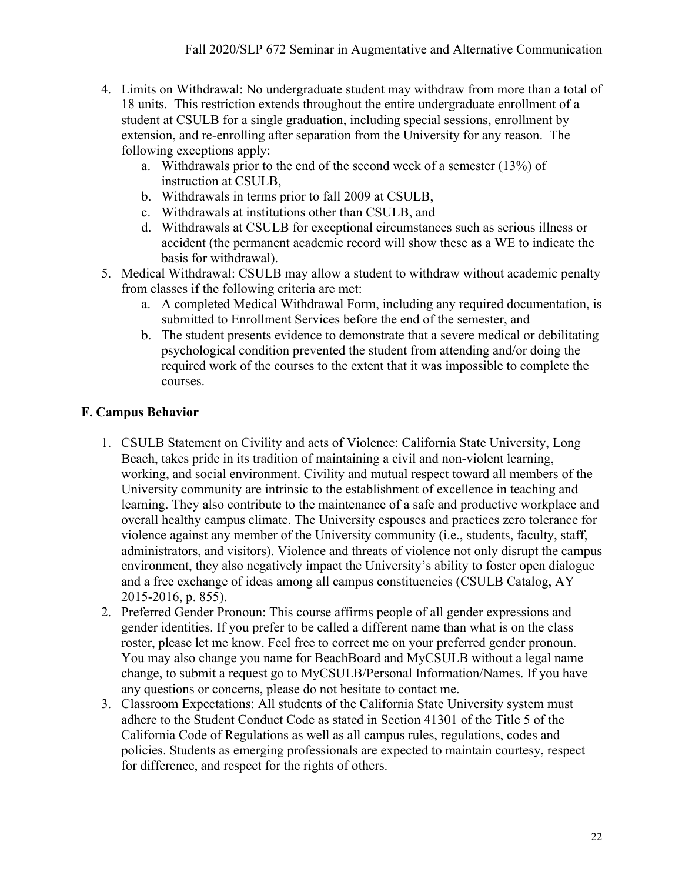- 4. Limits on Withdrawal: No undergraduate student may withdraw from more than a total of 18 units. This restriction extends throughout the entire undergraduate enrollment of a student at CSULB for a single graduation, including special sessions, enrollment by extension, and re-enrolling after separation from the University for any reason. The following exceptions apply:
	- a. Withdrawals prior to the end of the second week of a semester (13%) of instruction at CSULB,
	- b. Withdrawals in terms prior to fall 2009 at CSULB,
	- c. Withdrawals at institutions other than CSULB, and
	- d. Withdrawals at CSULB for exceptional circumstances such as serious illness or accident (the permanent academic record will show these as a WE to indicate the basis for withdrawal).
- 5. Medical Withdrawal: CSULB may allow a student to withdraw without academic penalty from classes if the following criteria are met:
	- a. A completed Medical Withdrawal Form, including any required documentation, is submitted to Enrollment Services before the end of the semester, and
	- b. The student presents evidence to demonstrate that a severe medical or debilitating psychological condition prevented the student from attending and/or doing the required work of the courses to the extent that it was impossible to complete the courses.

#### **F. Campus Behavior**

- 1. CSULB Statement on Civility and acts of Violence: California State University, Long Beach, takes pride in its tradition of maintaining a civil and non-violent learning, working, and social environment. Civility and mutual respect toward all members of the University community are intrinsic to the establishment of excellence in teaching and learning. They also contribute to the maintenance of a safe and productive workplace and overall healthy campus climate. The University espouses and practices zero tolerance for violence against any member of the University community (i.e., students, faculty, staff, administrators, and visitors). Violence and threats of violence not only disrupt the campus environment, they also negatively impact the University's ability to foster open dialogue and a free exchange of ideas among all campus constituencies (CSULB Catalog, AY 2015-2016, p. 855).
- 2. Preferred Gender Pronoun: This course affirms people of all gender expressions and gender identities. If you prefer to be called a different name than what is on the class roster, please let me know. Feel free to correct me on your preferred gender pronoun. You may also change you name for BeachBoard and MyCSULB without a legal name change, to submit a request go to MyCSULB/Personal Information/Names. If you have any questions or concerns, please do not hesitate to contact me.
- 3. Classroom Expectations: All students of the California State University system must adhere to the Student Conduct Code as stated in Section 41301 of the Title 5 of the California Code of Regulations as well as all campus rules, regulations, codes and policies. Students as emerging professionals are expected to maintain courtesy, respect for difference, and respect for the rights of others.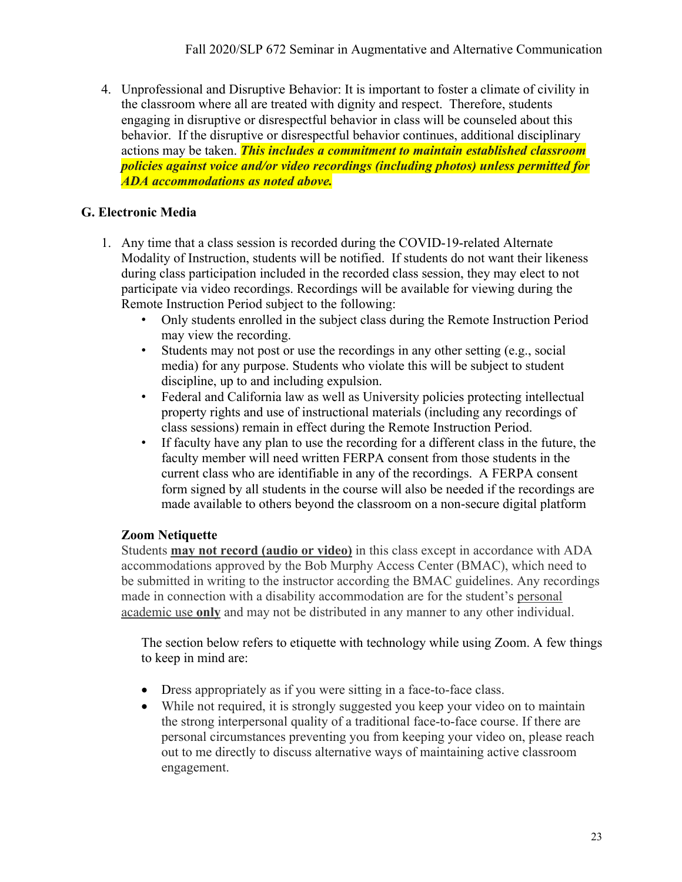4. Unprofessional and Disruptive Behavior: It is important to foster a climate of civility in the classroom where all are treated with dignity and respect. Therefore, students engaging in disruptive or disrespectful behavior in class will be counseled about this behavior. If the disruptive or disrespectful behavior continues, additional disciplinary actions may be taken. *This includes a commitment to maintain established classroom policies against voice and/or video recordings (including photos) unless permitted for ADA accommodations as noted above.*

#### **G. Electronic Media**

- 1. Any time that a class session is recorded during the COVID-19-related Alternate Modality of Instruction, students will be notified. If students do not want their likeness during class participation included in the recorded class session, they may elect to not participate via video recordings. Recordings will be available for viewing during the Remote Instruction Period subject to the following:
	- Only students enrolled in the subject class during the Remote Instruction Period may view the recording.
	- Students may not post or use the recordings in any other setting (e.g., social media) for any purpose. Students who violate this will be subject to student discipline, up to and including expulsion.
	- Federal and California law as well as University policies protecting intellectual property rights and use of instructional materials (including any recordings of class sessions) remain in effect during the Remote Instruction Period.
	- If faculty have any plan to use the recording for a different class in the future, the faculty member will need written FERPA consent from those students in the current class who are identifiable in any of the recordings. A FERPA consent form signed by all students in the course will also be needed if the recordings are made available to others beyond the classroom on a non-secure digital platform

#### **Zoom Netiquette**

Students **may not record (audio or video)** in this class except in accordance with ADA accommodations approved by the Bob Murphy Access Center (BMAC), which need to be submitted in writing to the instructor according the BMAC guidelines. Any recordings made in connection with a disability accommodation are for the student's personal academic use **only** and may not be distributed in any manner to any other individual.

The section below refers to etiquette with technology while using Zoom. A few things to keep in mind are:

- Dress appropriately as if you were sitting in a face-to-face class.
- While not required, it is strongly suggested you keep your video on to maintain the strong interpersonal quality of a traditional face-to-face course. If there are personal circumstances preventing you from keeping your video on, please reach out to me directly to discuss alternative ways of maintaining active classroom engagement.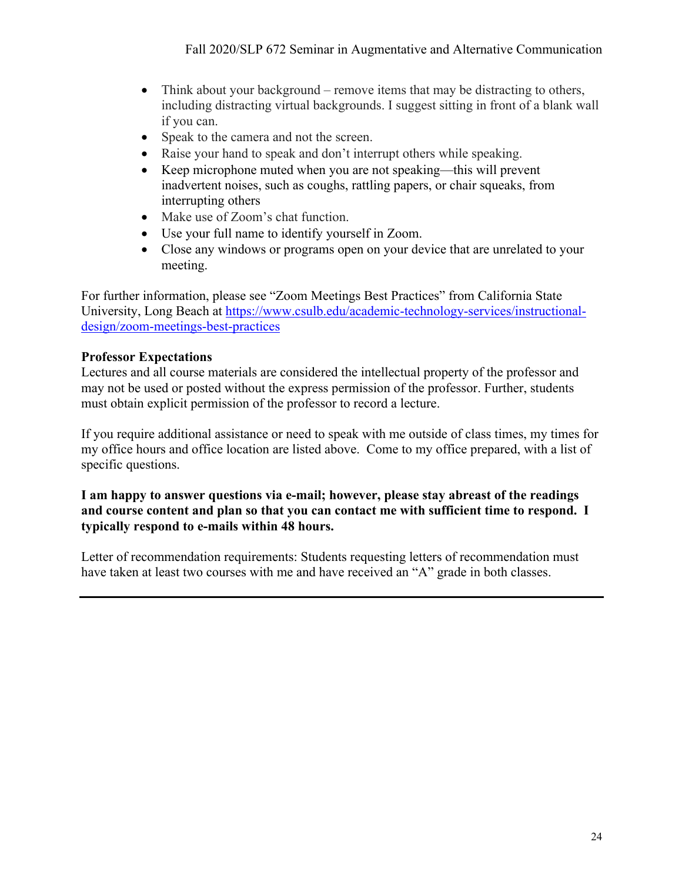- Think about your background remove items that may be distracting to others, including distracting virtual backgrounds. I suggest sitting in front of a blank wall if you can.
- Speak to the camera and not the screen.
- Raise your hand to speak and don't interrupt others while speaking.
- Keep microphone muted when you are not speaking—this will prevent inadvertent noises, such as coughs, rattling papers, or chair squeaks, from interrupting others
- Make use of Zoom's chat function.
- Use your full name to identify yourself in Zoom.
- Close any windows or programs open on your device that are unrelated to your meeting.

For further information, please see "Zoom Meetings Best Practices" from California State University, Long Beach at https://www.csulb.edu/academic-technology-services/instructionaldesign/zoom-meetings-best-practices

#### **Professor Expectations**

Lectures and all course materials are considered the intellectual property of the professor and may not be used or posted without the express permission of the professor. Further, students must obtain explicit permission of the professor to record a lecture.

If you require additional assistance or need to speak with me outside of class times, my times for my office hours and office location are listed above. Come to my office prepared, with a list of specific questions.

**I am happy to answer questions via e-mail; however, please stay abreast of the readings and course content and plan so that you can contact me with sufficient time to respond. I typically respond to e-mails within 48 hours.**

Letter of recommendation requirements: Students requesting letters of recommendation must have taken at least two courses with me and have received an "A" grade in both classes.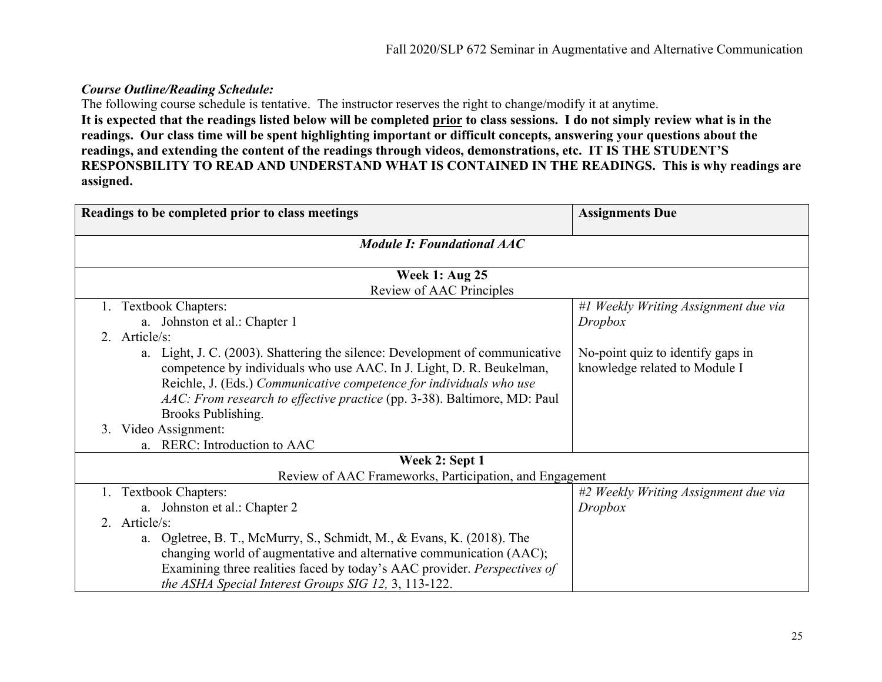#### *Course Outline/Reading Schedule:*

The following course schedule is tentative. The instructor reserves the right to change/modify it at anytime. **It is expected that the readings listed below will be completed prior to class sessions. I do not simply review what is in the readings. Our class time will be spent highlighting important or difficult concepts, answering your questions about the readings, and extending the content of the readings through videos, demonstrations, etc. IT IS THE STUDENT'S RESPONSBILITY TO READ AND UNDERSTAND WHAT IS CONTAINED IN THE READINGS. This is why readings are assigned.** 

| <b>Assignments Due</b>                                             |  |  |  |  |
|--------------------------------------------------------------------|--|--|--|--|
| <b>Module I: Foundational AAC</b>                                  |  |  |  |  |
|                                                                    |  |  |  |  |
|                                                                    |  |  |  |  |
| #1 Weekly Writing Assignment due via<br>Dropbox                    |  |  |  |  |
|                                                                    |  |  |  |  |
| No-point quiz to identify gaps in<br>knowledge related to Module I |  |  |  |  |
|                                                                    |  |  |  |  |
|                                                                    |  |  |  |  |
|                                                                    |  |  |  |  |
| Week 2: Sept 1                                                     |  |  |  |  |
| Review of AAC Frameworks, Participation, and Engagement            |  |  |  |  |
| #2 Weekly Writing Assignment due via                               |  |  |  |  |
| Dropbox                                                            |  |  |  |  |
|                                                                    |  |  |  |  |
|                                                                    |  |  |  |  |
|                                                                    |  |  |  |  |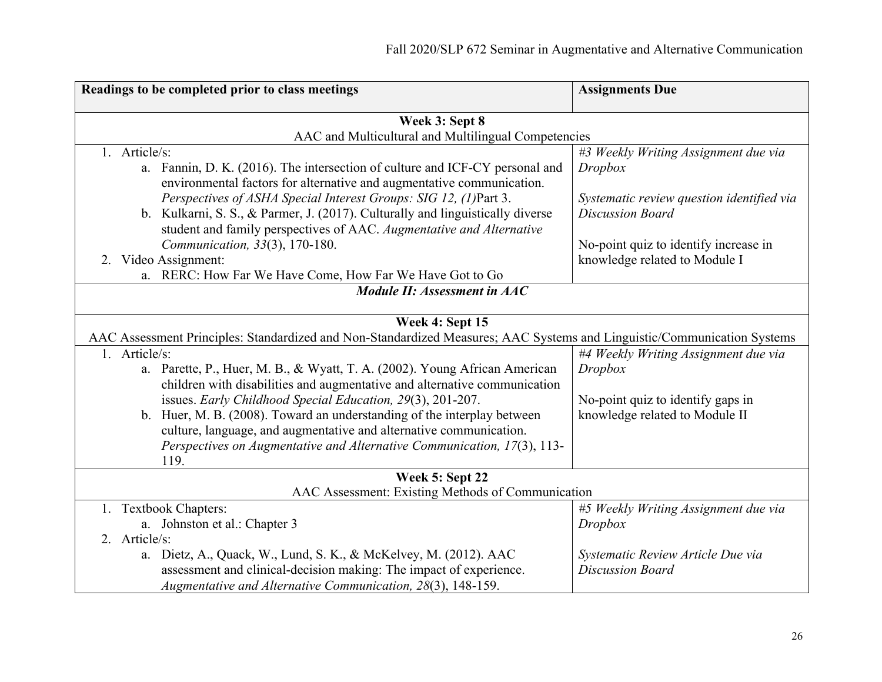| Readings to be completed prior to class meetings                                                                        | <b>Assignments Due</b>                    |  |  |  |  |
|-------------------------------------------------------------------------------------------------------------------------|-------------------------------------------|--|--|--|--|
|                                                                                                                         |                                           |  |  |  |  |
| AAC and Multicultural and Multilingual Competencies                                                                     | Week 3: Sept 8                            |  |  |  |  |
| 1. Article/s:                                                                                                           | #3 Weekly Writing Assignment due via      |  |  |  |  |
| a. Fannin, D. K. (2016). The intersection of culture and ICF-CY personal and                                            | Dropbox                                   |  |  |  |  |
| environmental factors for alternative and augmentative communication.                                                   |                                           |  |  |  |  |
| Perspectives of ASHA Special Interest Groups: SIG 12, (1)Part 3.                                                        | Systematic review question identified via |  |  |  |  |
| b. Kulkarni, S. S., & Parmer, J. (2017). Culturally and linguistically diverse                                          | <b>Discussion Board</b>                   |  |  |  |  |
| student and family perspectives of AAC. Augmentative and Alternative                                                    |                                           |  |  |  |  |
| Communication, 33(3), 170-180.                                                                                          | No-point quiz to identify increase in     |  |  |  |  |
| 2. Video Assignment:                                                                                                    | knowledge related to Module I             |  |  |  |  |
| RERC: How Far We Have Come, How Far We Have Got to Go<br>a.                                                             |                                           |  |  |  |  |
| Module II: Assessment in AAC                                                                                            |                                           |  |  |  |  |
| Week 4: Sept 15                                                                                                         |                                           |  |  |  |  |
| AAC Assessment Principles: Standardized and Non-Standardized Measures; AAC Systems and Linguistic/Communication Systems |                                           |  |  |  |  |
| 1. Article/s:                                                                                                           | #4 Weekly Writing Assignment due via      |  |  |  |  |
| a. Parette, P., Huer, M. B., & Wyatt, T. A. (2002). Young African American                                              | Dropbox                                   |  |  |  |  |
| children with disabilities and augmentative and alternative communication                                               |                                           |  |  |  |  |
| issues. Early Childhood Special Education, 29(3), 201-207.                                                              | No-point quiz to identify gaps in         |  |  |  |  |
| b. Huer, M. B. (2008). Toward an understanding of the interplay between                                                 | knowledge related to Module II            |  |  |  |  |
| culture, language, and augmentative and alternative communication.                                                      |                                           |  |  |  |  |
| Perspectives on Augmentative and Alternative Communication, 17(3), 113-                                                 |                                           |  |  |  |  |
| 119.                                                                                                                    |                                           |  |  |  |  |
| Week 5: Sept 22                                                                                                         |                                           |  |  |  |  |
| AAC Assessment: Existing Methods of Communication                                                                       |                                           |  |  |  |  |
| 1. Textbook Chapters:                                                                                                   | #5 Weekly Writing Assignment due via      |  |  |  |  |
| a. Johnston et al.: Chapter 3<br>2. Article/s:                                                                          | Dropbox                                   |  |  |  |  |
| a. Dietz, A., Quack, W., Lund, S. K., & McKelvey, M. (2012). AAC                                                        | Systematic Review Article Due via         |  |  |  |  |
| assessment and clinical-decision making: The impact of experience.                                                      | <b>Discussion Board</b>                   |  |  |  |  |
| Augmentative and Alternative Communication, 28(3), 148-159.                                                             |                                           |  |  |  |  |
|                                                                                                                         |                                           |  |  |  |  |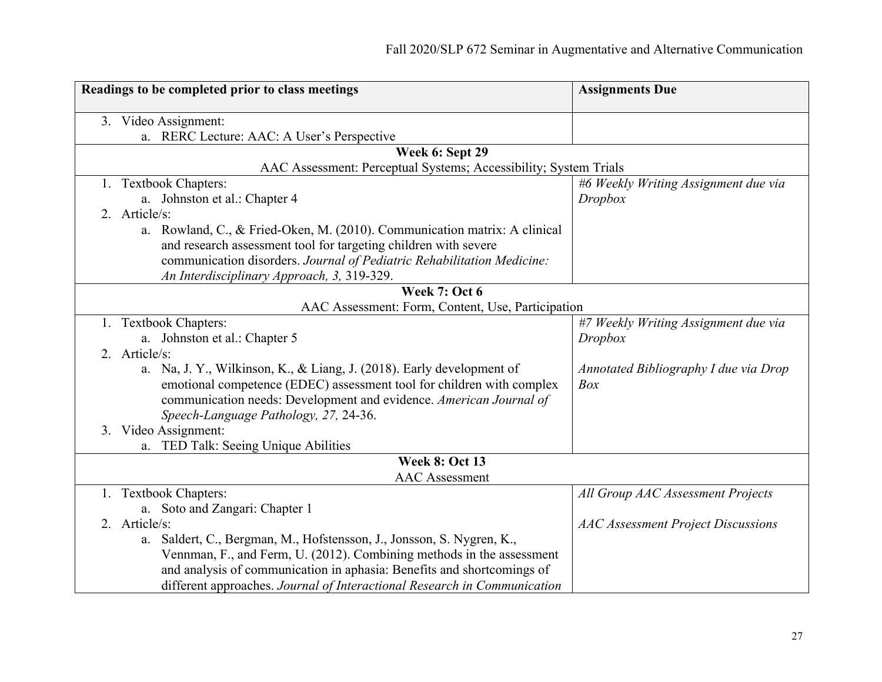| Readings to be completed prior to class meetings |                                                                             | <b>Assignments Due</b>                    |  |  |  |
|--------------------------------------------------|-----------------------------------------------------------------------------|-------------------------------------------|--|--|--|
|                                                  | 3. Video Assignment:                                                        |                                           |  |  |  |
|                                                  | a. RERC Lecture: AAC: A User's Perspective                                  |                                           |  |  |  |
|                                                  | Week 6: Sept 29                                                             |                                           |  |  |  |
|                                                  | AAC Assessment: Perceptual Systems; Accessibility; System Trials            |                                           |  |  |  |
|                                                  | 1. Textbook Chapters:                                                       | #6 Weekly Writing Assignment due via      |  |  |  |
|                                                  | a. Johnston et al.: Chapter 4                                               | Dropbox                                   |  |  |  |
|                                                  | 2. Article/s:                                                               |                                           |  |  |  |
|                                                  | a. Rowland, C., & Fried-Oken, M. (2010). Communication matrix: A clinical   |                                           |  |  |  |
|                                                  | and research assessment tool for targeting children with severe             |                                           |  |  |  |
|                                                  | communication disorders. Journal of Pediatric Rehabilitation Medicine:      |                                           |  |  |  |
|                                                  | An Interdisciplinary Approach, 3, 319-329.                                  |                                           |  |  |  |
|                                                  | Week 7: Oct 6                                                               |                                           |  |  |  |
|                                                  | AAC Assessment: Form, Content, Use, Participation                           |                                           |  |  |  |
|                                                  | 1. Textbook Chapters:                                                       | #7 Weekly Writing Assignment due via      |  |  |  |
|                                                  | a. Johnston et al.: Chapter 5                                               | Dropbox                                   |  |  |  |
|                                                  | 2. Article/s:                                                               |                                           |  |  |  |
|                                                  | a. Na, J. Y., Wilkinson, K., & Liang, J. (2018). Early development of       | Annotated Bibliography I due via Drop     |  |  |  |
|                                                  | emotional competence (EDEC) assessment tool for children with complex       | Box                                       |  |  |  |
|                                                  | communication needs: Development and evidence. American Journal of          |                                           |  |  |  |
|                                                  | Speech-Language Pathology, 27, 24-36.                                       |                                           |  |  |  |
|                                                  | 3. Video Assignment:                                                        |                                           |  |  |  |
|                                                  | a. TED Talk: Seeing Unique Abilities                                        |                                           |  |  |  |
|                                                  | <b>Week 8: Oct 13</b>                                                       |                                           |  |  |  |
|                                                  | <b>AAC</b> Assessment                                                       |                                           |  |  |  |
|                                                  | 1. Textbook Chapters:                                                       | All Group AAC Assessment Projects         |  |  |  |
|                                                  | a. Soto and Zangari: Chapter 1<br>2. Article/s:                             | <b>AAC Assessment Project Discussions</b> |  |  |  |
|                                                  | Saldert, C., Bergman, M., Hofstensson, J., Jonsson, S. Nygren, K.,          |                                           |  |  |  |
|                                                  | a.<br>Vennman, F., and Ferm, U. (2012). Combining methods in the assessment |                                           |  |  |  |
|                                                  | and analysis of communication in aphasia: Benefits and shortcomings of      |                                           |  |  |  |
|                                                  | different approaches. Journal of Interactional Research in Communication    |                                           |  |  |  |
|                                                  |                                                                             |                                           |  |  |  |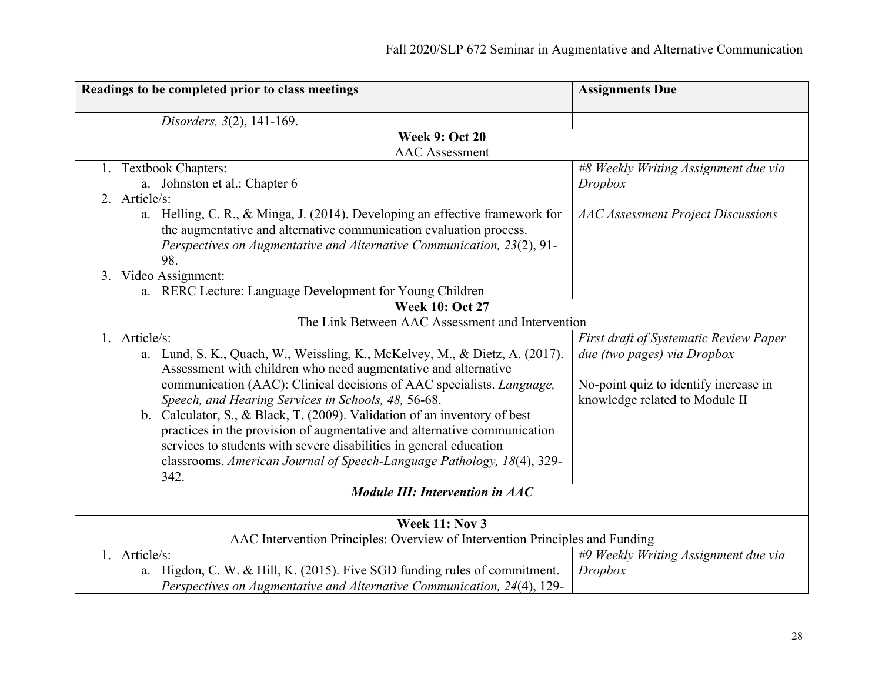| Readings to be completed prior to class meetings                                                                                 | <b>Assignments Due</b>                    |
|----------------------------------------------------------------------------------------------------------------------------------|-------------------------------------------|
| Disorders, 3(2), 141-169.                                                                                                        |                                           |
| <b>Week 9: Oct 20</b>                                                                                                            |                                           |
| <b>AAC</b> Assessment                                                                                                            |                                           |
| 1. Textbook Chapters:                                                                                                            | #8 Weekly Writing Assignment due via      |
| a. Johnston et al.: Chapter 6                                                                                                    | Dropbox                                   |
| 2. Article/s:                                                                                                                    |                                           |
| a. Helling, C. R., & Minga, J. (2014). Developing an effective framework for                                                     | <b>AAC Assessment Project Discussions</b> |
| the augmentative and alternative communication evaluation process.                                                               |                                           |
| Perspectives on Augmentative and Alternative Communication, 23(2), 91-<br>98.                                                    |                                           |
|                                                                                                                                  |                                           |
| 3. Video Assignment:                                                                                                             |                                           |
| a. RERC Lecture: Language Development for Young Children<br><b>Week 10: Oct 27</b>                                               |                                           |
| The Link Between AAC Assessment and Intervention                                                                                 |                                           |
| 1. Article/s:                                                                                                                    |                                           |
|                                                                                                                                  | First draft of Systematic Review Paper    |
| a. Lund, S. K., Quach, W., Weissling, K., McKelvey, M., & Dietz, A. (2017).                                                      | due (two pages) via Dropbox               |
| Assessment with children who need augmentative and alternative                                                                   |                                           |
| communication (AAC): Clinical decisions of AAC specialists. Language,                                                            | No-point quiz to identify increase in     |
| Speech, and Hearing Services in Schools, 48, 56-68.<br>b. Calculator, S., & Black, T. (2009). Validation of an inventory of best | knowledge related to Module II            |
| practices in the provision of augmentative and alternative communication                                                         |                                           |
| services to students with severe disabilities in general education                                                               |                                           |
| classrooms. American Journal of Speech-Language Pathology, 18(4), 329-                                                           |                                           |
| 342.                                                                                                                             |                                           |
| Module III: Intervention in AAC                                                                                                  |                                           |
|                                                                                                                                  |                                           |
| <b>Week 11: Nov 3</b>                                                                                                            |                                           |
| AAC Intervention Principles: Overview of Intervention Principles and Funding                                                     |                                           |
| 1. Article/s:                                                                                                                    | #9 Weekly Writing Assignment due via      |
| a. Higdon, C. W. & Hill, K. (2015). Five SGD funding rules of commitment.                                                        | Dropbox                                   |
| Perspectives on Augmentative and Alternative Communication, 24(4), 129-                                                          |                                           |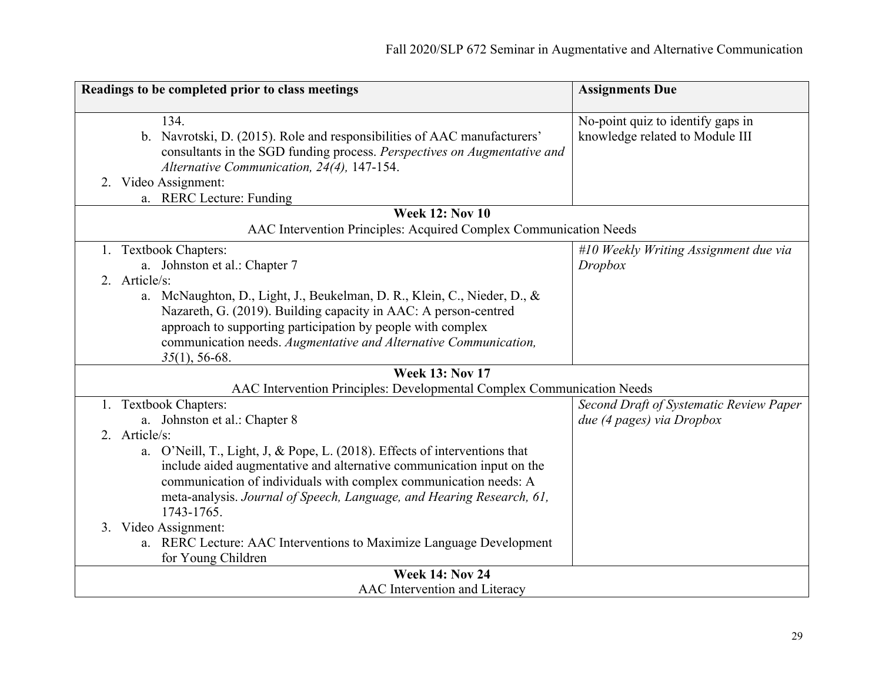| Readings to be completed prior to class meetings                                                                                                                                                                                                                                                                                                                                                                                                                                                                                                                                         | <b>Assignments Due</b>                                               |
|------------------------------------------------------------------------------------------------------------------------------------------------------------------------------------------------------------------------------------------------------------------------------------------------------------------------------------------------------------------------------------------------------------------------------------------------------------------------------------------------------------------------------------------------------------------------------------------|----------------------------------------------------------------------|
| 134.<br>b. Navrotski, D. (2015). Role and responsibilities of AAC manufacturers'<br>consultants in the SGD funding process. Perspectives on Augmentative and<br>Alternative Communication, 24(4), 147-154.<br>2. Video Assignment:<br>a. RERC Lecture: Funding                                                                                                                                                                                                                                                                                                                           | No-point quiz to identify gaps in<br>knowledge related to Module III |
| <b>Week 12: Nov 10</b><br>AAC Intervention Principles: Acquired Complex Communication Needs                                                                                                                                                                                                                                                                                                                                                                                                                                                                                              |                                                                      |
| 1. Textbook Chapters:<br>a. Johnston et al.: Chapter 7<br>2. Article/s:<br>a. McNaughton, D., Light, J., Beukelman, D. R., Klein, C., Nieder, D., &<br>Nazareth, G. (2019). Building capacity in AAC: A person-centred<br>approach to supporting participation by people with complex<br>communication needs. Augmentative and Alternative Communication,<br>$35(1), 56-68.$                                                                                                                                                                                                             | #10 Weekly Writing Assignment due via<br>Dropbox                     |
| <b>Week 13: Nov 17</b>                                                                                                                                                                                                                                                                                                                                                                                                                                                                                                                                                                   |                                                                      |
| AAC Intervention Principles: Developmental Complex Communication Needs<br>1. Textbook Chapters:<br>a. Johnston et al.: Chapter 8<br>2. Article/s:<br>a. O'Neill, T., Light, J, & Pope, L. (2018). Effects of interventions that<br>include aided augmentative and alternative communication input on the<br>communication of individuals with complex communication needs: A<br>meta-analysis. Journal of Speech, Language, and Hearing Research, 61,<br>1743-1765.<br>3. Video Assignment:<br>a. RERC Lecture: AAC Interventions to Maximize Language Development<br>for Young Children | Second Draft of Systematic Review Paper<br>due (4 pages) via Dropbox |
| <b>Week 14: Nov 24</b><br>AAC Intervention and Literacy                                                                                                                                                                                                                                                                                                                                                                                                                                                                                                                                  |                                                                      |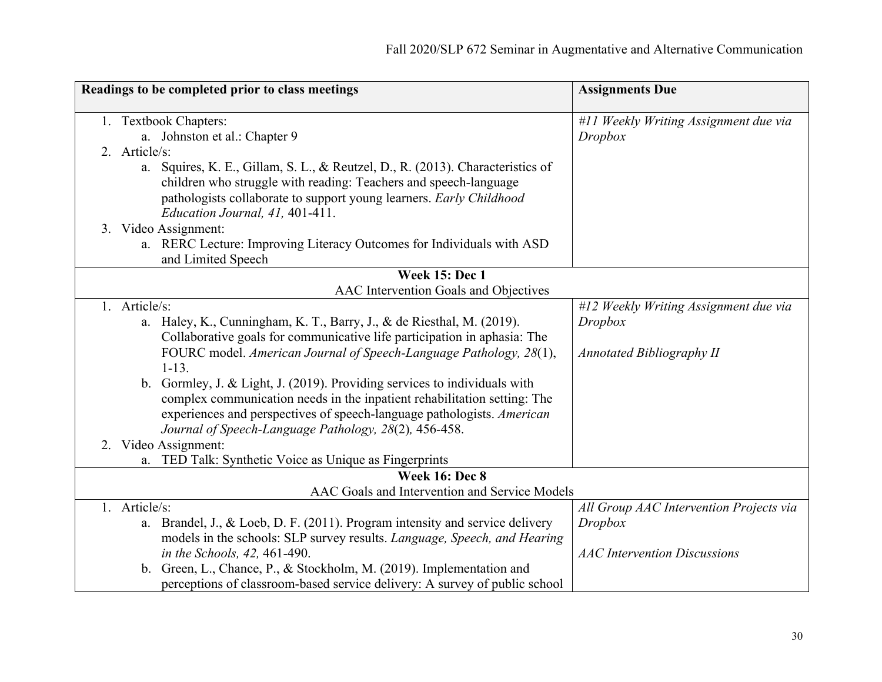| Readings to be completed prior to class meetings |                                                                                | <b>Assignments Due</b>                  |  |
|--------------------------------------------------|--------------------------------------------------------------------------------|-----------------------------------------|--|
|                                                  | 1. Textbook Chapters:                                                          | #11 Weekly Writing Assignment due via   |  |
|                                                  | a. Johnston et al.: Chapter 9                                                  | Dropbox                                 |  |
|                                                  | 2. Article/s:                                                                  |                                         |  |
|                                                  | a. Squires, K. E., Gillam, S. L., & Reutzel, D., R. (2013). Characteristics of |                                         |  |
|                                                  | children who struggle with reading: Teachers and speech-language               |                                         |  |
|                                                  | pathologists collaborate to support young learners. Early Childhood            |                                         |  |
|                                                  | Education Journal, 41, 401-411.                                                |                                         |  |
|                                                  | 3. Video Assignment:                                                           |                                         |  |
|                                                  | a. RERC Lecture: Improving Literacy Outcomes for Individuals with ASD          |                                         |  |
|                                                  | and Limited Speech                                                             |                                         |  |
| <b>Week 15: Dec 1</b>                            |                                                                                |                                         |  |
| AAC Intervention Goals and Objectives            |                                                                                |                                         |  |
|                                                  | 1. Article/s:                                                                  | #12 Weekly Writing Assignment due via   |  |
|                                                  | a. Haley, K., Cunningham, K. T., Barry, J., & de Riesthal, M. (2019).          | Dropbox                                 |  |
|                                                  | Collaborative goals for communicative life participation in aphasia: The       |                                         |  |
|                                                  | FOURC model. American Journal of Speech-Language Pathology, 28(1),             | <b>Annotated Bibliography II</b>        |  |
|                                                  | $1 - 13$ .                                                                     |                                         |  |
|                                                  | b. Gormley, J. & Light, J. (2019). Providing services to individuals with      |                                         |  |
|                                                  | complex communication needs in the inpatient rehabilitation setting: The       |                                         |  |
|                                                  | experiences and perspectives of speech-language pathologists. American         |                                         |  |
|                                                  | Journal of Speech-Language Pathology, 28(2), 456-458.                          |                                         |  |
|                                                  | 2. Video Assignment:                                                           |                                         |  |
|                                                  | a. TED Talk: Synthetic Voice as Unique as Fingerprints                         |                                         |  |
| <b>Week 16: Dec 8</b>                            |                                                                                |                                         |  |
| AAC Goals and Intervention and Service Models    |                                                                                |                                         |  |
|                                                  | 1. Article/s:                                                                  | All Group AAC Intervention Projects via |  |
|                                                  | a. Brandel, J., & Loeb, D. F. (2011). Program intensity and service delivery   | Dropbox                                 |  |
|                                                  | models in the schools: SLP survey results. Language, Speech, and Hearing       |                                         |  |
|                                                  | in the Schools, 42, 461-490.                                                   | <b>AAC</b> Intervention Discussions     |  |
|                                                  | b. Green, L., Chance, P., & Stockholm, M. (2019). Implementation and           |                                         |  |
|                                                  | perceptions of classroom-based service delivery: A survey of public school     |                                         |  |